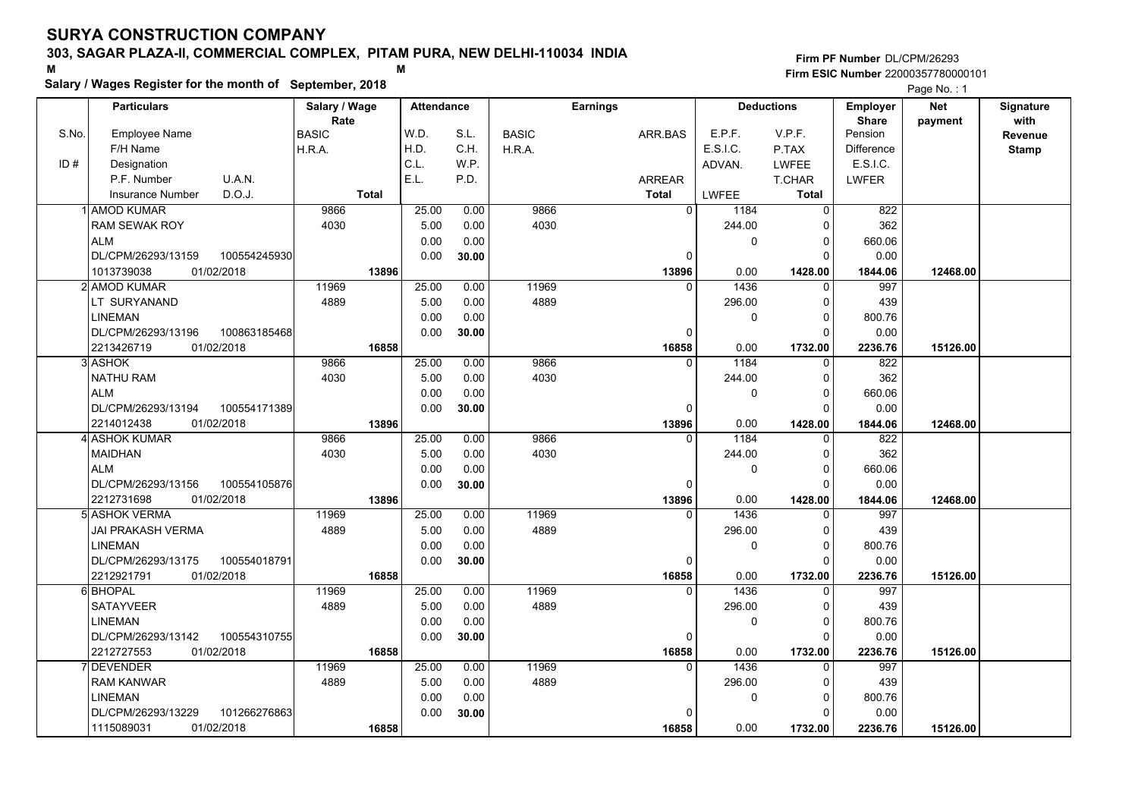# **Salary / Wages Register for the month of September, 2018 <sup>M</sup> <sup>M</sup>**

|       | Salary / wages Register for the month of September, 2018 |               |                   |       |              |                 |                |          | Page No.: 1       |                   |            |              |
|-------|----------------------------------------------------------|---------------|-------------------|-------|--------------|-----------------|----------------|----------|-------------------|-------------------|------------|--------------|
|       | <b>Particulars</b>                                       | Salary / Wage | <b>Attendance</b> |       |              | <b>Earnings</b> |                |          | <b>Deductions</b> | <b>Employer</b>   | <b>Net</b> | Signature    |
|       |                                                          | Rate          |                   |       |              |                 |                |          |                   | <b>Share</b>      | payment    | with         |
| S.No. | <b>Employee Name</b>                                     | <b>BASIC</b>  | W.D.              | S.L.  | <b>BASIC</b> |                 | ARR.BAS        | E.P.F.   | V.P.F.            | Pension           |            | Revenue      |
|       | F/H Name                                                 | H.R.A.        | H.D.              | C.H.  | H.R.A.       |                 |                | E.S.I.C. | P.TAX             | <b>Difference</b> |            | <b>Stamp</b> |
| ID#   | Designation                                              |               | C.L.              | W.P.  |              |                 |                | ADVAN.   | <b>LWFEE</b>      | E.S.I.C.          |            |              |
|       | P.F. Number<br>U.A.N.                                    |               | E.L.              | P.D.  |              |                 | <b>ARREAR</b>  |          | T.CHAR            | <b>LWFER</b>      |            |              |
|       | D.O.J.<br><b>Insurance Number</b>                        | <b>Total</b>  |                   |       |              |                 | <b>Total</b>   | LWFEE    | <b>Total</b>      |                   |            |              |
|       | 1 AMOD KUMAR                                             | 9866          | 25.00             | 0.00  | 9866         |                 | $\overline{0}$ | 1184     | $\Omega$          | 822               |            |              |
|       | <b>RAM SEWAK ROY</b>                                     | 4030          | 5.00              | 0.00  | 4030         |                 |                | 244.00   | C                 | 362               |            |              |
|       | <b>ALM</b>                                               |               | 0.00              | 0.00  |              |                 |                | 0        | $\mathbf 0$       | 660.06            |            |              |
|       | DL/CPM/26293/13159<br>100554245930                       |               | 0.00              | 30.00 |              |                 | 0              |          | ŋ                 | 0.00              |            |              |
|       | 1013739038<br>01/02/2018                                 | 13896         |                   |       |              |                 | 13896          | 0.00     | 1428.00           | 1844.06           | 12468.00   |              |
|       | 2l AMOD KUMAR                                            | 11969         | 25.00             | 0.00  | 11969        |                 | $\Omega$       | 1436     | $\Omega$          | 997               |            |              |
|       | LT SURYANAND                                             | 4889          | 5.00              | 0.00  | 4889         |                 |                | 296.00   | $\Omega$          | 439               |            |              |
|       | <b>LINEMAN</b>                                           |               | 0.00              | 0.00  |              |                 |                | 0        | ŋ                 | 800.76            |            |              |
|       | DL/CPM/26293/13196<br>100863185468                       |               | 0.00              | 30.00 |              |                 | $\Omega$       |          |                   | 0.00              |            |              |
|       | 2213426719<br>01/02/2018                                 | 16858         |                   |       |              |                 | 16858          | 0.00     | 1732.00           | 2236.76           | 15126.00   |              |
|       | 3 ASHOK                                                  | 9866          | 25.00             | 0.00  | 9866         |                 | $\Omega$       | 1184     | $\Omega$          | 822               |            |              |
|       | <b>NATHU RAM</b>                                         | 4030          | 5.00              | 0.00  | 4030         |                 |                | 244.00   | $\Omega$          | 362               |            |              |
|       | <b>ALM</b>                                               |               | 0.00              | 0.00  |              |                 |                | 0        | $\Omega$          | 660.06            |            |              |
|       | 100554171389<br>DL/CPM/26293/13194                       |               | 0.00              | 30.00 |              |                 | $\Omega$       |          | $\Omega$          | 0.00              |            |              |
|       | 2214012438<br>01/02/2018                                 | 13896         |                   |       |              |                 | 13896          | 0.00     | 1428.00           | 1844.06           | 12468.00   |              |
|       | 4 ASHOK KUMAR                                            | 9866          | 25.00             | 0.00  | 9866         |                 | $\Omega$       | 1184     | $\Omega$          | 822               |            |              |
|       | <b>MAIDHAN</b>                                           | 4030          | 5.00              | 0.00  | 4030         |                 |                | 244.00   | $\Omega$          | 362               |            |              |
|       | <b>ALM</b>                                               |               | 0.00              | 0.00  |              |                 |                | 0        | $\Omega$          | 660.06            |            |              |
|       | DL/CPM/26293/13156<br>100554105876                       |               | 0.00              | 30.00 |              |                 | $\mathbf{0}$   |          | C                 | 0.00              |            |              |
|       | 2212731698<br>01/02/2018                                 | 13896         |                   |       |              |                 | 13896          | 0.00     | 1428.00           | 1844.06           | 12468.00   |              |
|       | 5 ASHOK VERMA                                            | 11969         | 25.00             | 0.00  | 11969        |                 | 0              | 1436     | $\Omega$          | 997               |            |              |
|       | JAI PRAKASH VERMA                                        | 4889          | 5.00              | 0.00  | 4889         |                 |                | 296.00   | $\Omega$          | 439               |            |              |
|       | <b>LINEMAN</b>                                           |               | 0.00              | 0.00  |              |                 |                | 0        | $\Omega$          | 800.76            |            |              |
|       | 100554018791<br>DL/CPM/26293/13175                       |               | 0.00              | 30.00 |              |                 | 0              |          | ∩                 | 0.00              |            |              |
|       | 2212921791<br>01/02/2018                                 | 16858         |                   |       |              |                 | 16858          | 0.00     | 1732.00           | 2236.76           | 15126.00   |              |
|       | 6 BHOPAL                                                 | 11969         | 25.00             | 0.00  | 11969        |                 | $\Omega$       | 1436     | $\Omega$          | 997               |            |              |
|       | <b>SATAYVEER</b>                                         | 4889          | 5.00              | 0.00  | 4889         |                 |                | 296.00   | $\Omega$          | 439               |            |              |
|       | <b>LINEMAN</b>                                           |               | 0.00              | 0.00  |              |                 |                | 0        | 0                 | 800.76            |            |              |
|       | DL/CPM/26293/13142<br>100554310755                       |               | 0.00              | 30.00 |              |                 | $\Omega$       |          | ŋ                 | 0.00              |            |              |
|       | 2212727553<br>01/02/2018                                 | 16858         |                   |       |              |                 | 16858          | 0.00     | 1732.00           | 2236.76           | 15126.00   |              |
|       | 7 DEVENDER                                               | 11969         | 25.00             | 0.00  | 11969        |                 | $\Omega$       | 1436     |                   | 997               |            |              |
|       | <b>RAM KANWAR</b>                                        | 4889          | 5.00              | 0.00  | 4889         |                 |                | 296.00   | ŋ                 | 439               |            |              |
|       | <b>LINEMAN</b>                                           |               | 0.00              | 0.00  |              |                 |                | 0        | $\Omega$          | 800.76            |            |              |
|       | 101266276863<br>DL/CPM/26293/13229                       |               | 0.00              | 30.00 |              |                 | $\Omega$       |          |                   | 0.00              |            |              |
|       | 01/02/2018<br>1115089031                                 | 16858         |                   |       |              |                 | 16858          | 0.00     | 1732.00           | 2236.76           | 15126.00   |              |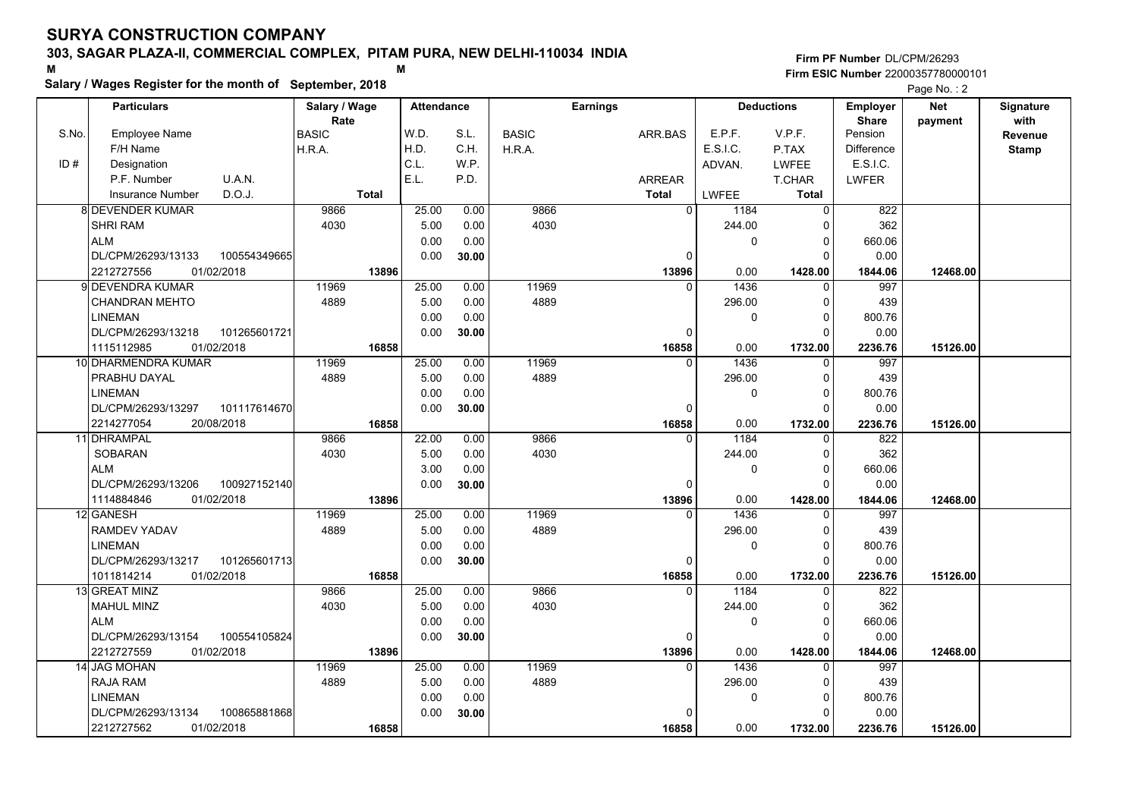# **Salary / Wages Register for the month of September, 2018 <sup>M</sup> <sup>M</sup>**

|       | Salary / wages Register for the month of September, 2018 |               |                   |       |              |                 |               |              |                   |                   | Page No.: 2 |              |
|-------|----------------------------------------------------------|---------------|-------------------|-------|--------------|-----------------|---------------|--------------|-------------------|-------------------|-------------|--------------|
|       | <b>Particulars</b>                                       | Salary / Wage | <b>Attendance</b> |       |              | <b>Earnings</b> |               |              | <b>Deductions</b> | <b>Employer</b>   | <b>Net</b>  | Signature    |
|       |                                                          | Rate          |                   |       |              |                 |               |              |                   | <b>Share</b>      | payment     | with         |
| S.No. | <b>Employee Name</b>                                     | <b>BASIC</b>  | W.D.              | S.L.  | <b>BASIC</b> |                 | ARR.BAS       | E.P.F.       | V.P.F.            | Pension           |             | Revenue      |
|       | F/H Name                                                 | H.R.A.        | H.D.              | C.H.  | H.R.A.       |                 |               | E.S.I.C.     | P.TAX             | <b>Difference</b> |             | <b>Stamp</b> |
| ID#   | Designation                                              |               | C.L.              | W.P.  |              |                 |               | ADVAN.       | <b>LWFEE</b>      | E.S.I.C.          |             |              |
|       | U.A.N.<br>P.F. Number                                    |               | E.L.              | P.D.  |              |                 | <b>ARREAR</b> |              | T.CHAR            | <b>LWFER</b>      |             |              |
|       | D.O.J.<br><b>Insurance Number</b>                        | <b>Total</b>  |                   |       |              |                 | <b>Total</b>  | LWFEE        | <b>Total</b>      |                   |             |              |
|       | 8 DEVENDER KUMAR                                         | 9866          | 25.00             | 0.00  | 9866         |                 | $\Omega$      | 1184         | $\overline{0}$    | 822               |             |              |
|       | <b>SHRI RAM</b>                                          | 4030          | 5.00              | 0.00  | 4030         |                 |               | 244.00       | 0                 | 362               |             |              |
|       | <b>ALM</b>                                               |               | 0.00              | 0.00  |              |                 |               | 0            | 0                 | 660.06            |             |              |
|       | DL/CPM/26293/13133<br>100554349665                       |               | 0.00              | 30.00 |              |                 | 0             |              | 0                 | 0.00              |             |              |
|       | 01/02/2018<br>2212727556                                 | 13896         |                   |       |              |                 | 13896         | 0.00         | 1428.00           | 1844.06           | 12468.00    |              |
|       | 9 DEVENDRA KUMAR                                         | 11969         | 25.00             | 0.00  | 11969        |                 | $\Omega$      | 1436         | $\Omega$          | 997               |             |              |
|       | CHANDRAN MEHTO                                           | 4889          | 5.00              | 0.00  | 4889         |                 |               | 296.00       | 0                 | 439               |             |              |
|       | <b>LINEMAN</b>                                           |               | 0.00              | 0.00  |              |                 |               | 0            | $\Omega$          | 800.76            |             |              |
|       | DL/CPM/26293/13218<br>101265601721                       |               | 0.00              | 30.00 |              |                 | $\Omega$      |              | 0                 | 0.00              |             |              |
|       | 1115112985<br>01/02/2018                                 | 16858         |                   |       |              |                 | 16858         | 0.00         | 1732.00           | 2236.76           | 15126.00    |              |
|       | 10 DHARMENDRA KUMAR                                      | 11969         | 25.00             | 0.00  | 11969        |                 | $\Omega$      | 1436         | 0                 | 997               |             |              |
|       | PRABHU DAYAL                                             | 4889          | 5.00              | 0.00  | 4889         |                 |               | 296.00       | $\mathbf{0}$      | 439               |             |              |
|       | <b>LINEMAN</b>                                           |               | 0.00              | 0.00  |              |                 |               | $\mathbf{0}$ | $\Omega$          | 800.76            |             |              |
|       | DL/CPM/26293/13297<br>101117614670                       |               | 0.00              | 30.00 |              |                 | $\Omega$      |              | $\Omega$          | 0.00              |             |              |
|       | 2214277054<br>20/08/2018                                 | 16858         |                   |       |              |                 | 16858         | 0.00         | 1732.00           | 2236.76           | 15126.00    |              |
|       | 11 DHRAMPAL                                              | 9866          | 22.00             | 0.00  | 9866         |                 | $\Omega$      | 1184         | 0                 | 822               |             |              |
|       | <b>SOBARAN</b>                                           | 4030          | 5.00              | 0.00  | 4030         |                 |               | 244.00       | 0                 | 362               |             |              |
|       | <b>ALM</b>                                               |               | 3.00              | 0.00  |              |                 |               | $\mathbf{0}$ | 0                 | 660.06            |             |              |
|       | DL/CPM/26293/13206<br>100927152140                       |               | 0.00              | 30.00 |              |                 | $\Omega$      |              | $\Omega$          | 0.00              |             |              |
|       | 1114884846<br>01/02/2018                                 | 13896         |                   |       |              |                 | 13896         | 0.00         | 1428.00           | 1844.06           | 12468.00    |              |
|       | 12 GANESH                                                | 11969         | 25.00             | 0.00  | 11969        |                 |               | 1436         | $\mathbf{0}$      | 997               |             |              |
|       | RAMDEV YADAV                                             | 4889          | 5.00              | 0.00  | 4889         |                 |               | 296.00       | 0                 | 439               |             |              |
|       | LINEMAN                                                  |               | 0.00              | 0.00  |              |                 |               | $\mathbf{0}$ | $\Omega$          | 800.76            |             |              |
|       | DL/CPM/26293/13217<br>101265601713                       |               | 0.00              | 30.00 |              |                 | 0             |              | 0                 | 0.00              |             |              |
|       | 1011814214<br>01/02/2018                                 | 16858         |                   |       |              |                 | 16858         | 0.00         | 1732.00           | 2236.76           | 15126.00    |              |
|       | 13 GREAT MINZ                                            | 9866          | 25.00             | 0.00  | 9866         |                 | $\Omega$      | 1184         | 0                 | 822               |             |              |
|       | MAHUL MINZ                                               | 4030          | 5.00              | 0.00  | 4030         |                 |               | 244.00       | $\Omega$          | 362               |             |              |
|       | <b>ALM</b>                                               |               | 0.00              | 0.00  |              |                 |               | $\mathbf{0}$ | 0                 | 660.06            |             |              |
|       | DL/CPM/26293/13154<br>100554105824                       |               | 0.00              | 30.00 |              |                 | 0             |              | $\Omega$          | 0.00              |             |              |
|       | 2212727559<br>01/02/2018                                 | 13896         |                   |       |              |                 | 13896         | 0.00         | 1428.00           | 1844.06           | 12468.00    |              |
|       | 14 JAG MOHAN                                             | 11969         | 25.00             | 0.00  | 11969        |                 | $\Omega$      | 1436         | $\Omega$          | 997               |             |              |
|       | <b>RAJA RAM</b>                                          | 4889          | 5.00              | 0.00  | 4889         |                 |               | 296.00       | $\Omega$          | 439               |             |              |
|       | LINEMAN                                                  |               | 0.00              | 0.00  |              |                 |               | 0            | 0                 | 800.76            |             |              |
|       | 100865881868<br>DL/CPM/26293/13134                       |               | 0.00              | 30.00 |              |                 |               |              | 0                 | 0.00              |             |              |
|       | 2212727562<br>01/02/2018                                 | 16858         |                   |       |              |                 | 16858         | 0.00         | 1732.00           | 2236.76           | 15126.00    |              |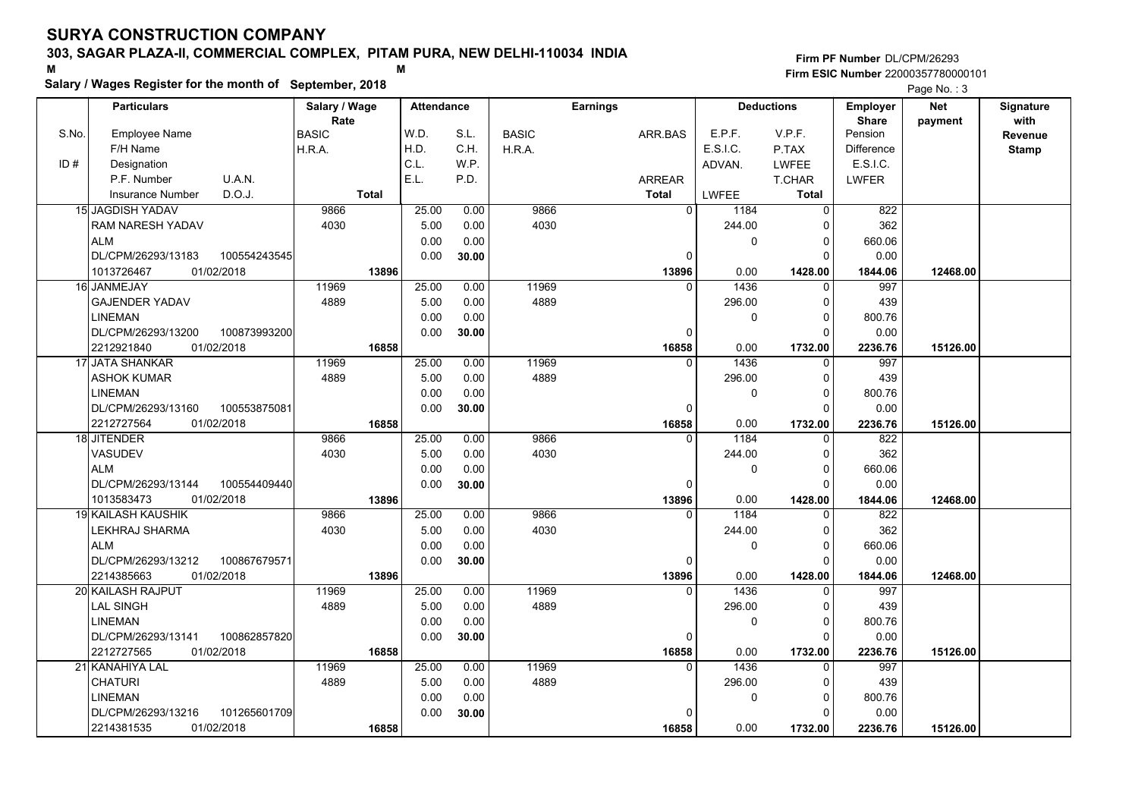# **Salary / Wages Register for the month of September, 2018 <sup>M</sup> <sup>M</sup>**

|       | Salary / wages Register for the month of September, 2018 |               |                   |       |              |                 |                  |                   |                   | Page No.: 3 |              |
|-------|----------------------------------------------------------|---------------|-------------------|-------|--------------|-----------------|------------------|-------------------|-------------------|-------------|--------------|
|       | <b>Particulars</b>                                       | Salary / Wage | <b>Attendance</b> |       |              | <b>Earnings</b> |                  | <b>Deductions</b> | <b>Employer</b>   | <b>Net</b>  | Signature    |
|       |                                                          | Rate          |                   |       |              |                 |                  |                   | <b>Share</b>      | payment     | with         |
| S.No. | <b>Employee Name</b>                                     | <b>BASIC</b>  | W.D.              | S.L.  | <b>BASIC</b> | ARR.BAS         | E.P.F.           | V.P.F.            | Pension           |             | Revenue      |
|       | F/H Name                                                 | H.R.A.        | H.D.              | C.H.  | H.R.A.       |                 | E.S.I.C.         | P.TAX             | <b>Difference</b> |             | <b>Stamp</b> |
| ID#   | Designation                                              |               | C.L.              | W.P.  |              |                 | ADVAN.           | <b>LWFEE</b>      | E.S.I.C.          |             |              |
|       | U.A.N.<br>P.F. Number                                    |               | E.L.              | P.D.  |              | <b>ARREAR</b>   |                  | T.CHAR            | <b>LWFER</b>      |             |              |
|       | D.O.J.<br>Insurance Number                               | <b>Total</b>  |                   |       |              | <b>Total</b>    | <b>LWFEE</b>     | Total             |                   |             |              |
|       | <b>15 JAGDISH YADAV</b>                                  | 9866          | 25.00             | 0.00  | 9866         |                 | $\Omega$<br>1184 | $\overline{0}$    | 822               |             |              |
|       | <b>RAM NARESH YADAV</b>                                  | 4030          | 5.00              | 0.00  | 4030         |                 | 244.00           | $\Omega$          | 362               |             |              |
|       | <b>ALM</b>                                               |               | 0.00              | 0.00  |              |                 | 0                | 0                 | 660.06            |             |              |
|       | DL/CPM/26293/13183<br>100554243545                       |               | 0.00              | 30.00 |              |                 | 0                | $\Omega$          | 0.00              |             |              |
|       | 1013726467<br>01/02/2018                                 | 13896         |                   |       |              | 13896           | 0.00             | 1428.00           | 1844.06           | 12468.00    |              |
|       | 16 JANMEJAY                                              | 11969         | 25.00             | 0.00  | 11969        |                 | 1436<br>$\Omega$ | $\Omega$          | 997               |             |              |
|       | <b>GAJENDER YADAV</b>                                    | 4889          | 5.00              | 0.00  | 4889         |                 | 296.00           | 0                 | 439               |             |              |
|       | <b>LINEMAN</b>                                           |               | 0.00              | 0.00  |              |                 | 0                | $\Omega$          | 800.76            |             |              |
|       | DL/CPM/26293/13200<br>100873993200                       |               | 0.00              | 30.00 |              |                 | $\Omega$         | $\Omega$          | 0.00              |             |              |
|       | 2212921840<br>01/02/2018                                 | 16858         |                   |       |              | 16858           | 0.00             | 1732.00           | 2236.76           | 15126.00    |              |
|       | 17 JATA SHANKAR                                          | 11969         | 25.00             | 0.00  | 11969        |                 | 1436<br>$\Omega$ | 0                 | 997               |             |              |
|       | <b>ASHOK KUMAR</b>                                       | 4889          | 5.00              | 0.00  | 4889         |                 | 296.00           | 0                 | 439               |             |              |
|       | <b>LINEMAN</b>                                           |               | 0.00              | 0.00  |              |                 | $\mathbf{0}$     | $\Omega$          | 800.76            |             |              |
|       | DL/CPM/26293/13160<br>100553875081                       |               | 0.00              | 30.00 |              |                 | $\Omega$         | $\Omega$          | 0.00              |             |              |
|       | 2212727564<br>01/02/2018                                 | 16858         |                   |       |              | 16858           | 0.00             | 1732.00           | 2236.76           | 15126.00    |              |
|       | 18 JITENDER                                              | 9866          | 25.00             | 0.00  | 9866         |                 | 1184<br>$\Omega$ | $\Omega$          | $\overline{822}$  |             |              |
|       | VASUDEV                                                  | 4030          | 5.00              | 0.00  | 4030         |                 | 244.00           | $\Omega$          | 362               |             |              |
|       | <b>ALM</b>                                               |               | 0.00              | 0.00  |              |                 | $\mathbf 0$      | 0                 | 660.06            |             |              |
|       | DL/CPM/26293/13144<br>100554409440                       |               | 0.00              | 30.00 |              |                 | $\Omega$         | $\Omega$          | 0.00              |             |              |
|       | 1013583473<br>01/02/2018                                 | 13896         |                   |       |              | 13896           | 0.00             | 1428.00           | 1844.06           | 12468.00    |              |
|       | <b>19 KAILASH KAUSHIK</b>                                | 9866          | 25.00             | 0.00  | 9866         |                 | 1184<br>$\Omega$ | $\Omega$          | 822               |             |              |
|       | LEKHRAJ SHARMA                                           | 4030          | 5.00              | 0.00  | 4030         |                 | 244.00           | 0                 | 362               |             |              |
|       | <b>ALM</b>                                               |               | 0.00              | 0.00  |              |                 | 0                | $\Omega$          | 660.06            |             |              |
|       | DL/CPM/26293/13212<br>100867679571                       |               | 0.00              | 30.00 |              |                 | 0                | 0                 | 0.00              |             |              |
|       | 01/02/2018<br>2214385663                                 | 13896         |                   |       |              | 13896           | 0.00             | 1428.00           | 1844.06           | 12468.00    |              |
|       | 20 KAILASH RAJPUT                                        | 11969         | 25.00             | 0.00  | 11969        |                 | 1436<br>$\Omega$ | 0                 | 997               |             |              |
|       | <b>LAL SINGH</b>                                         | 4889          | 5.00              | 0.00  | 4889         |                 | 296.00           | $\Omega$          | 439               |             |              |
|       | <b>LINEMAN</b>                                           |               | 0.00              | 0.00  |              |                 | $\Omega$         | $\Omega$          | 800.76            |             |              |
|       | DL/CPM/26293/13141<br>100862857820                       |               | 0.00              | 30.00 |              |                 | $\Omega$         | $\Omega$          | 0.00              |             |              |
|       | 2212727565<br>01/02/2018                                 | 16858         |                   |       |              | 16858           | 0.00             | 1732.00           | 2236.76           | 15126.00    |              |
|       | 21 KANAHIYA LAL                                          | 11969         | 25.00             | 0.00  | 11969        |                 | $\Omega$<br>1436 | $\Omega$          | 997               |             |              |
|       | <b>CHATURI</b>                                           | 4889          | 5.00              | 0.00  | 4889         |                 | 296.00           | 0                 | 439               |             |              |
|       | <b>LINEMAN</b>                                           |               | 0.00              | 0.00  |              |                 | 0                | 0                 | 800.76            |             |              |
|       | DL/CPM/26293/13216<br>101265601709                       |               | 0.00              | 30.00 |              |                 | $\Omega$         | 0                 | 0.00              |             |              |
|       | 2214381535<br>01/02/2018                                 | 16858         |                   |       |              | 16858           | 0.00             | 1732.00           | 2236.76           | 15126.00    |              |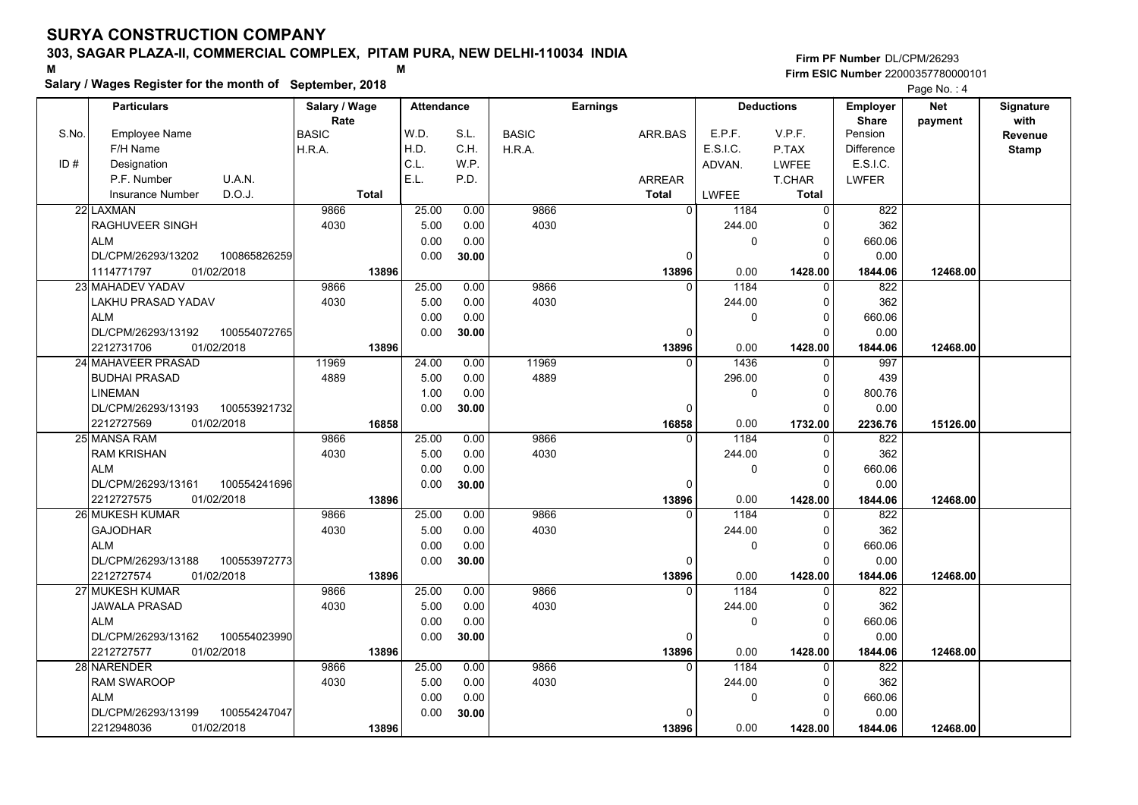# **Salary / Wages Register for the month of September, 2018 <sup>M</sup> <sup>M</sup>**

|       | Salary / wages Register for the month of September, 2018 |               |       |                   |       |              |                 |               |             | Page No.: 4       |                   |            |              |
|-------|----------------------------------------------------------|---------------|-------|-------------------|-------|--------------|-----------------|---------------|-------------|-------------------|-------------------|------------|--------------|
|       | <b>Particulars</b>                                       | Salary / Wage |       | <b>Attendance</b> |       |              | <b>Earnings</b> |               |             | <b>Deductions</b> | <b>Employer</b>   | <b>Net</b> | Signature    |
|       |                                                          | Rate          |       |                   |       |              |                 |               |             |                   | <b>Share</b>      | payment    | with         |
| S.No. | <b>Employee Name</b>                                     | <b>BASIC</b>  | W.D.  |                   | S.L.  | <b>BASIC</b> |                 | ARR.BAS       | E.P.F.      | V.P.F.            | Pension           |            | Revenue      |
|       | F/H Name                                                 | H.R.A.        | H.D.  |                   | C.H.  | H.R.A.       |                 |               | E.S.I.C.    | P.TAX             | <b>Difference</b> |            | <b>Stamp</b> |
| ID#   | Designation                                              |               | C.L.  |                   | W.P.  |              |                 |               | ADVAN.      | <b>LWFEE</b>      | E.S.I.C.          |            |              |
|       | P.F. Number<br>U.A.N.                                    |               | E.L.  |                   | P.D.  |              |                 | <b>ARREAR</b> |             | T.CHAR            | <b>LWFER</b>      |            |              |
|       | D.O.J.<br><b>Insurance Number</b>                        | <b>Total</b>  |       |                   |       |              |                 | <b>Total</b>  | LWFEE       | <b>Total</b>      |                   |            |              |
|       | 22 LAXMAN                                                | 9866          |       | 25.00             | 0.00  | 9866         |                 | $\Omega$      | 1184        | $\Omega$          | 822               |            |              |
|       | <b>RAGHUVEER SINGH</b>                                   | 4030          |       | 5.00              | 0.00  | 4030         |                 |               | 244.00      | O                 | 362               |            |              |
|       | <b>ALM</b>                                               |               |       | 0.00              | 0.00  |              |                 |               | 0           | 0                 | 660.06            |            |              |
|       | DL/CPM/26293/13202<br>100865826259                       |               |       | 0.00              | 30.00 |              |                 | 0             |             | $\Omega$          | 0.00              |            |              |
|       | 1114771797<br>01/02/2018                                 |               | 13896 |                   |       |              |                 | 13896         | 0.00        | 1428.00           | 1844.06           | 12468.00   |              |
|       | 23 MAHADEV YADAV                                         | 9866          |       | 25.00             | 0.00  | 9866         |                 | $\Omega$      | 1184        | $\Omega$          | 822               |            |              |
|       | LAKHU PRASAD YADAV                                       | 4030          |       | 5.00              | 0.00  | 4030         |                 |               | 244.00      | 0                 | 362               |            |              |
|       | <b>ALM</b>                                               |               |       | 0.00              | 0.00  |              |                 |               | 0           | $\Omega$          | 660.06            |            |              |
|       | DL/CPM/26293/13192<br>100554072765                       |               |       | 0.00              | 30.00 |              |                 | $\Omega$      |             | O                 | 0.00              |            |              |
|       | 2212731706<br>01/02/2018                                 |               | 13896 |                   |       |              |                 | 13896         | 0.00        | 1428.00           | 1844.06           | 12468.00   |              |
|       | 24 MAHAVEER PRASAD                                       | 11969         |       | 24.00             | 0.00  | 11969        |                 | $\Omega$      | 1436        | 0                 | 997               |            |              |
|       | <b>BUDHAI PRASAD</b>                                     | 4889          |       | 5.00              | 0.00  | 4889         |                 |               | 296.00      | $\Omega$          | 439               |            |              |
|       | <b>LINEMAN</b>                                           |               |       | 1.00              | 0.00  |              |                 |               | $\mathbf 0$ | $\Omega$          | 800.76            |            |              |
|       | DL/CPM/26293/13193<br>100553921732                       |               |       | 0.00              | 30.00 |              |                 | 0             |             | $\Omega$          | 0.00              |            |              |
|       | 2212727569<br>01/02/2018                                 |               | 16858 |                   |       |              |                 | 16858         | 0.00        | 1732.00           | 2236.76           | 15126.00   |              |
|       | 25 MANSA RAM                                             | 9866          |       | 25.00             | 0.00  | 9866         |                 | $\Omega$      | 1184        | $\Omega$          | $\overline{822}$  |            |              |
|       | <b>RAM KRISHAN</b>                                       | 4030          |       | 5.00              | 0.00  | 4030         |                 |               | 244.00      | $\Omega$          | 362               |            |              |
|       | <b>ALM</b>                                               |               |       | 0.00              | 0.00  |              |                 |               | $\mathbf 0$ | $\Omega$          | 660.06            |            |              |
|       | DL/CPM/26293/13161<br>100554241696                       |               |       | 0.00              | 30.00 |              |                 | $\Omega$      |             | $\Omega$          | 0.00              |            |              |
|       | 2212727575<br>01/02/2018                                 |               | 13896 |                   |       |              |                 | 13896         | 0.00        | 1428.00           | 1844.06           | 12468.00   |              |
|       | <b>26 MUKESH KUMAR</b>                                   | 9866          |       | 25.00             | 0.00  | 9866         |                 | $\Omega$      | 1184        | 0                 | 822               |            |              |
|       | <b>GAJODHAR</b>                                          | 4030          |       | 5.00              | 0.00  | 4030         |                 |               | 244.00      | 0                 | 362               |            |              |
|       | <b>ALM</b>                                               |               |       | 0.00              | 0.00  |              |                 |               | 0           | $\Omega$          | 660.06            |            |              |
|       | DL/CPM/26293/13188<br>100553972773                       |               |       | 0.00              | 30.00 |              |                 | 0             |             | 0                 | 0.00              |            |              |
|       | 01/02/2018<br>2212727574                                 |               | 13896 |                   |       |              |                 | 13896         | 0.00        | 1428.00           | 1844.06           | 12468.00   |              |
|       | 27 MUKESH KUMAR                                          | 9866          |       | 25.00             | 0.00  | 9866         |                 | $\Omega$      | 1184        | 0                 | 822               |            |              |
|       | <b>JAWALA PRASAD</b>                                     | 4030          |       | 5.00              | 0.00  | 4030         |                 |               | 244.00      | $\Omega$          | 362               |            |              |
|       | <b>ALM</b>                                               |               |       | 0.00              | 0.00  |              |                 |               | $\mathbf 0$ | $\Omega$          | 660.06            |            |              |
|       | DL/CPM/26293/13162<br>100554023990                       |               |       | 0.00              | 30.00 |              |                 | $\Omega$      |             | $\Omega$          | 0.00              |            |              |
|       | 2212727577<br>01/02/2018                                 |               | 13896 |                   |       |              |                 | 13896         | 0.00        | 1428.00           | 1844.06           | 12468.00   |              |
|       | 28 NARENDER                                              | 9866          |       | 25.00             | 0.00  | 9866         |                 | $\Omega$      | 1184        | $\Omega$          | 822               |            |              |
|       | <b>RAM SWAROOP</b>                                       | 4030          |       | 5.00              | 0.00  | 4030         |                 |               | 244.00      | $\Omega$          | 362               |            |              |
|       | <b>ALM</b>                                               |               |       | 0.00              | 0.00  |              |                 |               | $\mathbf 0$ | $\Omega$          | 660.06            |            |              |
|       | 100554247047<br>DL/CPM/26293/13199                       |               |       | 0.00              | 30.00 |              |                 |               |             | O                 | 0.00              |            |              |
|       | 01/02/2018<br>2212948036                                 |               | 13896 |                   |       |              |                 | 13896         | 0.00        | 1428.00           | 1844.06           | 12468.00   |              |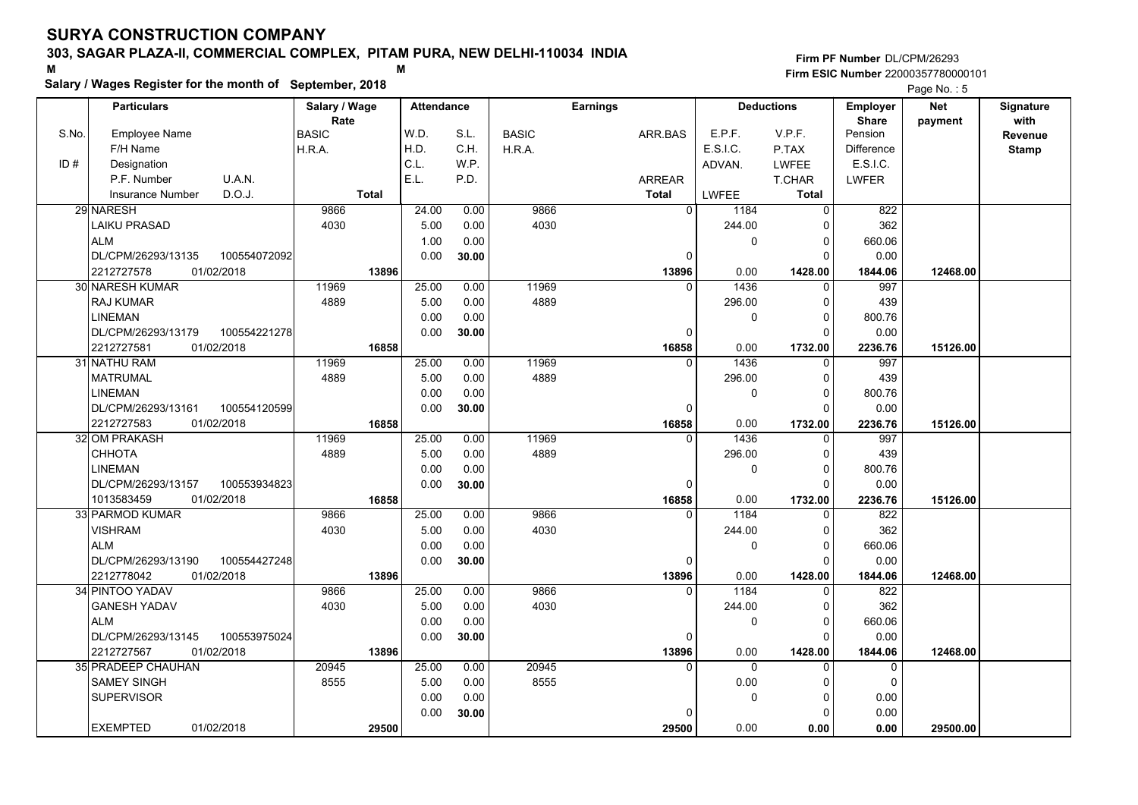# **Salary / Wages Register for the month of September, 2018 <sup>M</sup> <sup>M</sup>**

**Firm PF Number**DL/CPM/26293**Firm ESIC Number** 22000357780000101

Page No. : 5

|       | <b>Particulars</b>                 | Salary / Wage          | <b>Attendance</b> |              |              | <b>Earnings</b>   |                    | <b>Deductions</b>       | <b>Employer</b>         | Net      | Signature    |
|-------|------------------------------------|------------------------|-------------------|--------------|--------------|-------------------|--------------------|-------------------------|-------------------------|----------|--------------|
|       |                                    | Rate                   | W.D.              |              |              |                   |                    | V.P.F.                  | <b>Share</b><br>Pension | payment  | with         |
| S.No. | <b>Employee Name</b><br>F/H Name   | <b>BASIC</b><br>H.R.A. | H.D.              | S.L.<br>C.H. | <b>BASIC</b> | ARR.BAS           | E.P.F.<br>E.S.I.C. | P.TAX                   | <b>Difference</b>       |          | Revenue      |
| ID#   | Designation                        |                        | C.L.              | W.P.         | H.R.A.       |                   |                    | <b>LWFEE</b>            | E.S.I.C.                |          | <b>Stamp</b> |
|       | U.A.N.<br>P.F. Number              |                        | E.L.              | P.D.         |              |                   | ADVAN.             |                         |                         |          |              |
|       | D.O.J.                             |                        |                   |              |              | <b>ARREAR</b>     |                    | T.CHAR                  | <b>LWFER</b>            |          |              |
|       | <b>Insurance Number</b>            | <b>Total</b>           |                   |              | 9866         | <b>Total</b>      | <b>LWFEE</b>       | <b>Total</b>            |                         |          |              |
|       | 29 NARESH                          | 9866                   | 24.00             | 0.00         |              | $\Omega$          | 1184               | $\mathbf 0$             | 822                     |          |              |
|       | <b>LAIKU PRASAD</b>                | 4030                   | 5.00              | 0.00         | 4030         |                   | 244.00             | $\Omega$                | 362                     |          |              |
|       | <b>ALM</b>                         |                        | 1.00              | 0.00         |              |                   | 0                  | $\mathbf 0$<br>$\Omega$ | 660.06                  |          |              |
|       | DL/CPM/26293/13135<br>100554072092 |                        | 0.00              | 30.00        |              | $\Omega$          |                    |                         | 0.00                    |          |              |
|       | 01/02/2018<br>2212727578           | 13896                  |                   |              |              | 13896<br>$\Omega$ | 0.00               | 1428.00                 | 1844.06                 | 12468.00 |              |
|       | 30 NARESH KUMAR                    | 11969                  | 25.00             | 0.00         | 11969        |                   | 1436               | $\Omega$                | 997                     |          |              |
|       | <b>RAJ KUMAR</b>                   | 4889                   | 5.00              | 0.00         | 4889         |                   | 296.00             | 0                       | 439                     |          |              |
|       | <b>LINEMAN</b>                     |                        | 0.00              | 0.00         |              |                   | 0                  | $\mathbf 0$             | 800.76                  |          |              |
|       | 100554221278<br>DL/CPM/26293/13179 |                        | 0.00              | 30.00        |              | $\Omega$          |                    | $\Omega$                | 0.00                    |          |              |
|       | 2212727581<br>01/02/2018           | 16858                  |                   |              |              | 16858             | 0.00               | 1732.00                 | 2236.76                 | 15126.00 |              |
|       | 31 NATHU RAM                       | 11969                  | 25.00             | 0.00         | 11969        | U                 | 1436               | $\Omega$                | 997                     |          |              |
|       | <b>MATRUMAL</b>                    | 4889                   | 5.00              | 0.00         | 4889         |                   | 296.00             | 0                       | 439                     |          |              |
|       | <b>LINEMAN</b>                     |                        | 0.00              | 0.00         |              |                   | 0                  | $\Omega$                | 800.76                  |          |              |
|       | DL/CPM/26293/13161<br>100554120599 |                        | 0.00              | 30.00        |              | $\Omega$          |                    | $\Omega$                | 0.00                    |          |              |
|       | 2212727583<br>01/02/2018           | 16858                  |                   |              |              | 16858             | 0.00               | 1732.00                 | 2236.76                 | 15126.00 |              |
|       | 32 OM PRAKASH                      | 11969                  | 25.00             | 0.00         | 11969        | $\Omega$          | 1436               | $\mathbf 0$             | 997                     |          |              |
|       | <b>CHHOTA</b>                      | 4889                   | 5.00              | 0.00         | 4889         |                   | 296.00             | $\mathbf 0$             | 439                     |          |              |
|       | <b>LINEMAN</b>                     |                        | 0.00              | 0.00         |              |                   | 0                  | $\Omega$                | 800.76                  |          |              |
|       | DL/CPM/26293/13157<br>100553934823 |                        | 0.00              | 30.00        |              | $\Omega$          |                    | $\Omega$                | 0.00                    |          |              |
|       | 1013583459<br>01/02/2018           | 16858                  |                   |              |              | 16858             | 0.00               | 1732.00                 | 2236.76                 | 15126.00 |              |
|       | 33 PARMOD KUMAR                    | 9866                   | 25.00             | 0.00         | 9866         | $\Omega$          | 1184               | 0                       | 822                     |          |              |
|       | <b>VISHRAM</b>                     | 4030                   | 5.00              | 0.00         | 4030         |                   | 244.00             | 0                       | 362                     |          |              |
|       | <b>ALM</b>                         |                        | 0.00              | 0.00         |              |                   | 0                  | $\Omega$                | 660.06                  |          |              |
|       | DL/CPM/26293/13190<br>100554427248 |                        | 0.00              | 30.00        |              | $\Omega$          |                    | $\Omega$                | 0.00                    |          |              |
|       | 2212778042<br>01/02/2018           | 13896                  |                   |              |              | 13896             | 0.00               | 1428.00                 | 1844.06                 | 12468.00 |              |
|       | 34 PINTOO YADAV                    | 9866                   | 25.00             | 0.00         | 9866         | $\Omega$          | 1184               | 0                       | 822                     |          |              |
|       | <b>GANESH YADAV</b>                | 4030                   | 5.00              | 0.00         | 4030         |                   | 244.00             | $\mathbf 0$             | 362                     |          |              |
|       | <b>ALM</b>                         |                        | 0.00              | 0.00         |              |                   | 0                  | $\Omega$                | 660.06                  |          |              |
|       | 100553975024<br>DL/CPM/26293/13145 |                        | 0.00              | 30.00        |              | 0                 |                    | $\Omega$                | 0.00                    |          |              |
|       | 01/02/2018<br>2212727567           | 13896                  |                   |              |              | 13896             | 0.00               | 1428.00                 | 1844.06                 | 12468.00 |              |
|       | 35 PRADEEP CHAUHAN                 | 20945                  | 25.00             | 0.00         | 20945        | U                 | 0                  | 0                       | 0                       |          |              |
|       | <b>SAMEY SINGH</b>                 | 8555                   | 5.00              | 0.00         | 8555         |                   | 0.00               | $\Omega$                | $\mathbf 0$             |          |              |
|       | <b>SUPERVISOR</b>                  |                        | 0.00              | 0.00         |              |                   | 0                  | $\Omega$                | 0.00                    |          |              |
|       |                                    |                        | 0.00              | 30.00        |              | O                 |                    | 0                       | 0.00                    |          |              |
|       | <b>EXEMPTED</b><br>01/02/2018      | 29500                  |                   |              |              | 29500             | 0.00               | 0.00                    | 0.00                    | 29500.00 |              |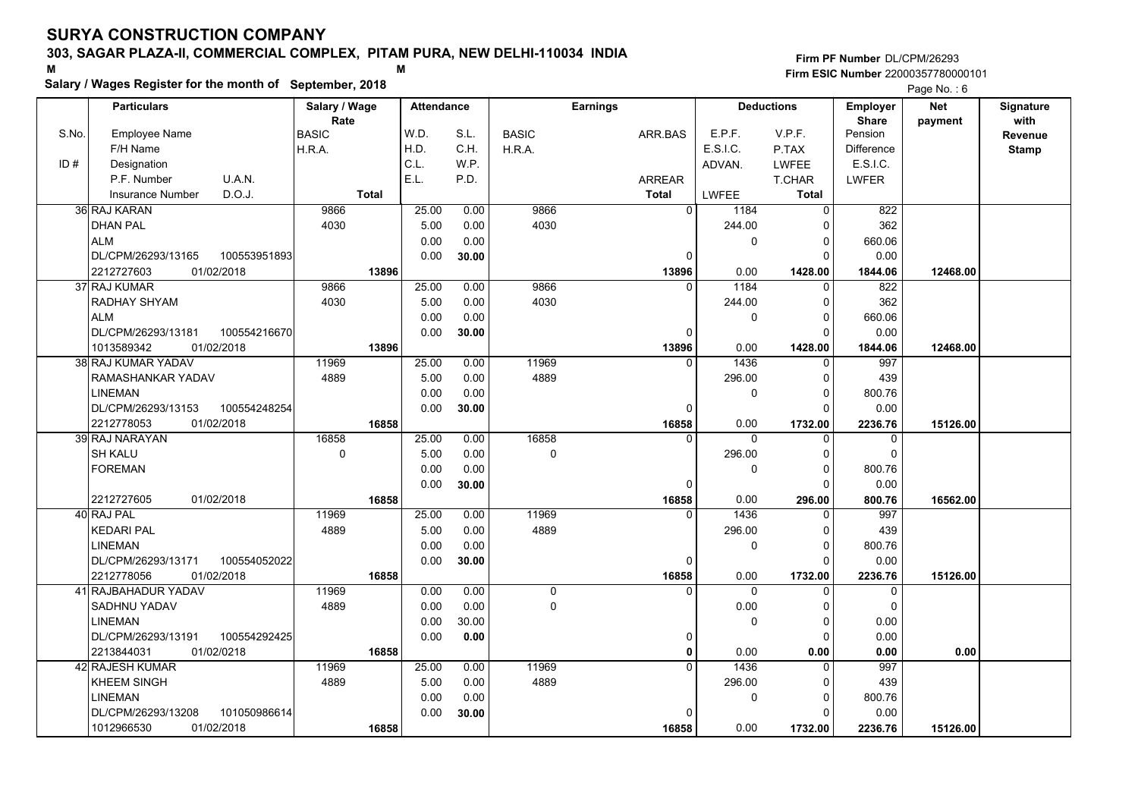# **Salary / Wages Register for the month of September, 2018 <sup>M</sup> <sup>M</sup>**

|       | Salary / wages Register for the month of September, 2018 |               |                   |       |              |                 |              |             |                   |                   | Page No.: 6 |              |
|-------|----------------------------------------------------------|---------------|-------------------|-------|--------------|-----------------|--------------|-------------|-------------------|-------------------|-------------|--------------|
|       | <b>Particulars</b>                                       | Salary / Wage | <b>Attendance</b> |       |              | <b>Earnings</b> |              |             | <b>Deductions</b> | <b>Employer</b>   | <b>Net</b>  | Signature    |
|       |                                                          | Rate          |                   |       |              |                 |              |             |                   | <b>Share</b>      | payment     | with         |
| S.No. | <b>Employee Name</b>                                     | <b>BASIC</b>  | W.D.              | S.L.  | <b>BASIC</b> | ARR.BAS         |              | E.P.F.      | V.P.F.            | Pension           |             | Revenue      |
|       | F/H Name                                                 | H.R.A.        | H.D.              | C.H.  | H.R.A.       |                 |              | E.S.I.C.    | P.TAX             | <b>Difference</b> |             | <b>Stamp</b> |
| ID#   | Designation                                              |               | C.L.              | W.P.  |              |                 |              | ADVAN.      | <b>LWFEE</b>      | E.S.I.C.          |             |              |
|       | U.A.N.<br>P.F. Number                                    |               | E.L.              | P.D.  |              | <b>ARREAR</b>   |              |             | T.CHAR            | <b>LWFER</b>      |             |              |
|       | D.O.J.<br><b>Insurance Number</b>                        | <b>Total</b>  |                   |       |              | <b>Total</b>    |              | LWFEE       | <b>Total</b>      |                   |             |              |
|       | 36 RAJ KARAN                                             | 9866          | 25.00             | 0.00  | 9866         |                 | $\Omega$     | 1184        | $\Omega$          | 822               |             |              |
|       | <b>DHAN PAL</b>                                          | 4030          | 5.00              | 0.00  | 4030         |                 |              | 244.00      | $\Omega$          | 362               |             |              |
|       | <b>ALM</b>                                               |               | 0.00              | 0.00  |              |                 |              | 0           | 0                 | 660.06            |             |              |
|       | DL/CPM/26293/13165<br>100553951893                       |               | 0.00              | 30.00 |              |                 | 0            |             | $\Omega$          | 0.00              |             |              |
|       | 2212727603<br>01/02/2018                                 | 13896         |                   |       |              | 13896           |              | 0.00        | 1428.00           | 1844.06           | 12468.00    |              |
|       | 37 RAJ KUMAR                                             | 9866          | 25.00             | 0.00  | 9866         |                 | $\Omega$     | 1184        | $\Omega$          | 822               |             |              |
|       | RADHAY SHYAM                                             | 4030          | 5.00              | 0.00  | 4030         |                 |              | 244.00      | 0                 | 362               |             |              |
|       | <b>ALM</b>                                               |               | 0.00              | 0.00  |              |                 |              | 0           | $\Omega$          | 660.06            |             |              |
|       | DL/CPM/26293/13181<br>100554216670                       |               | 0.00              | 30.00 |              |                 | 0            |             | 0                 | 0.00              |             |              |
|       | 1013589342<br>01/02/2018                                 | 13896         |                   |       |              | 13896           |              | 0.00        | 1428.00           | 1844.06           | 12468.00    |              |
|       | 38 RAJ KUMAR YADAV                                       | 11969         | 25.00             | 0.00  | 11969        |                 | $\Omega$     | 1436        | 0                 | 997               |             |              |
|       | RAMASHANKAR YADAV                                        | 4889          | 5.00              | 0.00  | 4889         |                 |              | 296.00      | $\Omega$          | 439               |             |              |
|       | <b>LINEMAN</b>                                           |               | 0.00              | 0.00  |              |                 |              | $\mathbf 0$ | $\Omega$          | 800.76            |             |              |
|       | 100554248254<br>DL/CPM/26293/13153                       |               | 0.00              | 30.00 |              |                 | $\Omega$     |             | $\Omega$          | 0.00              |             |              |
|       | 2212778053<br>01/02/2018                                 | 16858         |                   |       |              | 16858           |              | 0.00        | 1732.00           | 2236.76           | 15126.00    |              |
|       | 39 RAJ NARAYAN                                           | 16858         | 25.00             | 0.00  | 16858        |                 | $\Omega$     | $\Omega$    | $\Omega$          | $\mathbf 0$       |             |              |
|       | <b>SH KALU</b>                                           | $\mathbf 0$   | 5.00              | 0.00  | 0            |                 |              | 296.00      | $\Omega$          | $\Omega$          |             |              |
|       | <b>FOREMAN</b>                                           |               | 0.00              | 0.00  |              |                 |              | $\mathbf 0$ | 0                 | 800.76            |             |              |
|       |                                                          |               | 0.00              | 30.00 |              |                 | $\Omega$     |             | $\Omega$          | 0.00              |             |              |
|       | 2212727605<br>01/02/2018                                 | 16858         |                   |       |              | 16858           |              | 0.00        | 296.00            | 800.76            | 16562.00    |              |
|       | 40 RAJ PAL                                               | 11969         | 25.00             | 0.00  | 11969        |                 | $\Omega$     | 1436        | 0                 | 997               |             |              |
|       | <b>KEDARI PAL</b>                                        | 4889          | 5.00              | 0.00  | 4889         |                 |              | 296.00      | 0                 | 439               |             |              |
|       | LINEMAN                                                  |               | 0.00              | 0.00  |              |                 |              | 0           | $\Omega$          | 800.76            |             |              |
|       | DL/CPM/26293/13171<br>100554052022                       |               | 0.00              | 30.00 |              |                 | 0            |             | 0                 | 0.00              |             |              |
|       | 2212778056<br>01/02/2018                                 | 16858         |                   |       |              | 16858           |              | 0.00        | 1732.00           | 2236.76           | 15126.00    |              |
|       | 41 RAJBAHADUR YADAV                                      | 11969         | 0.00              | 0.00  | $\mathbf 0$  |                 | $\Omega$     | 0           | $\Omega$          | $\mathbf 0$       |             |              |
|       | SADHNU YADAV                                             | 4889          | 0.00              | 0.00  | 0            |                 |              | 0.00        | $\Omega$          | $\Omega$          |             |              |
|       | <b>LINEMAN</b>                                           |               | 0.00              | 30.00 |              |                 |              | $\mathbf 0$ | $\Omega$          | 0.00              |             |              |
|       | DL/CPM/26293/13191<br>100554292425                       |               | 0.00              | 0.00  |              |                 | 0            |             | $\Omega$          | 0.00              |             |              |
|       | 2213844031<br>01/02/0218                                 | 16858         |                   |       |              |                 | $\mathbf{0}$ | 0.00        | 0.00              | 0.00              | 0.00        |              |
|       | 42 RAJESH KUMAR                                          | 11969         | 25.00             | 0.00  | 11969        |                 | $\Omega$     | 1436        | $\Omega$          | 997               |             |              |
|       | KHEEM SINGH                                              | 4889          | 5.00              | 0.00  | 4889         |                 |              | 296.00      | O                 | 439               |             |              |
|       | LINEMAN                                                  |               | 0.00              | 0.00  |              |                 |              | 0           | $\Omega$          | 800.76            |             |              |
|       | 101050986614<br>DL/CPM/26293/13208                       |               | 0.00              | 30.00 |              |                 | $\Omega$     |             | O                 | 0.00              |             |              |
|       | 01/02/2018<br>1012966530                                 | 16858         |                   |       |              | 16858           |              | 0.00        | 1732.00           | 2236.76           | 15126.00    |              |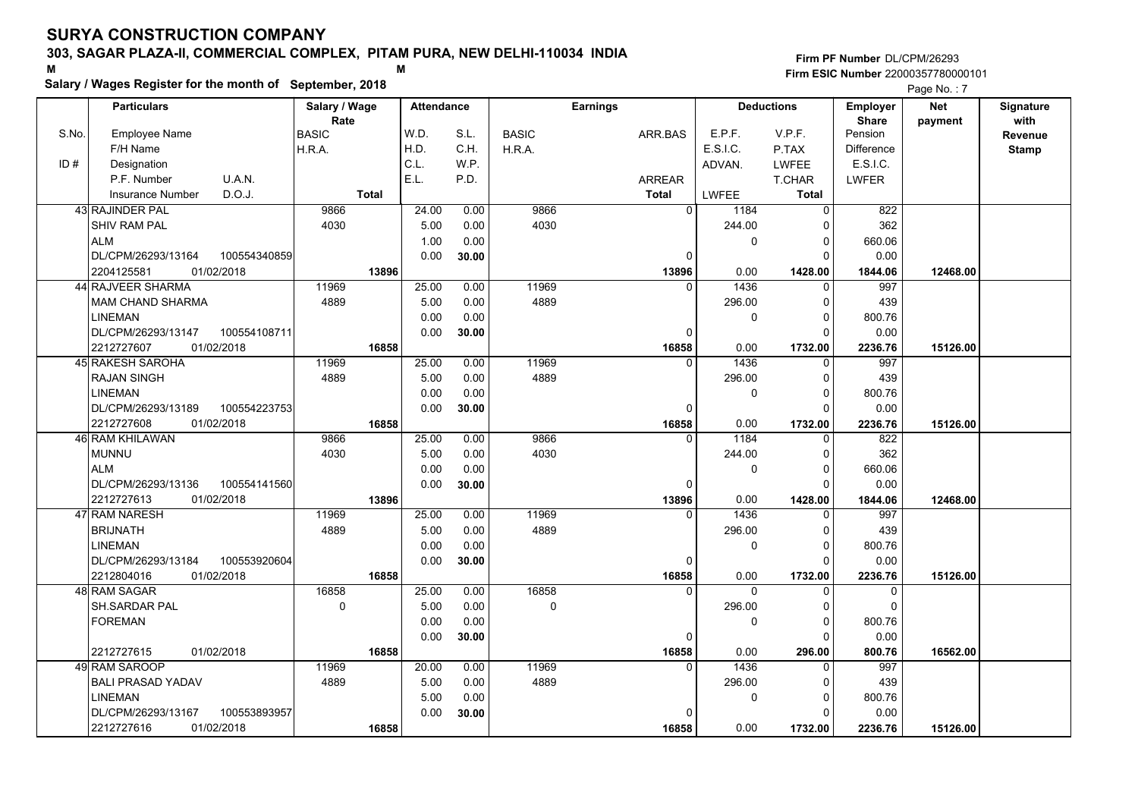# **Salary / Wages Register for the month of September, 2018 <sup>M</sup> <sup>M</sup>**

|       | Salary / wages Register for the month of September, 2018 |               |                   |       |              |                 |               |              |                   |                   | Page No.: 7 |              |
|-------|----------------------------------------------------------|---------------|-------------------|-------|--------------|-----------------|---------------|--------------|-------------------|-------------------|-------------|--------------|
|       | <b>Particulars</b>                                       | Salary / Wage | <b>Attendance</b> |       |              | <b>Earnings</b> |               |              | <b>Deductions</b> | <b>Employer</b>   | <b>Net</b>  | Signature    |
|       |                                                          | Rate          |                   |       |              |                 |               |              |                   | <b>Share</b>      | payment     | with         |
| S.No. | <b>Employee Name</b>                                     | <b>BASIC</b>  | W.D.              | S.L.  | <b>BASIC</b> |                 | ARR.BAS       | E.P.F.       | V.P.F.            | Pension           |             | Revenue      |
|       | F/H Name                                                 | H.R.A.        | H.D.              | C.H.  | H.R.A.       |                 |               | E.S.I.C.     | P.TAX             | <b>Difference</b> |             | <b>Stamp</b> |
| ID#   | Designation                                              |               | C.L.              | W.P.  |              |                 |               | ADVAN.       | <b>LWFEE</b>      | E.S.I.C.          |             |              |
|       | U.A.N.<br>P.F. Number                                    |               | E.L.              | P.D.  |              |                 | <b>ARREAR</b> |              | T.CHAR            | <b>LWFER</b>      |             |              |
|       | D.O.J.<br>Insurance Number                               | <b>Total</b>  |                   |       |              | <b>Total</b>    |               | <b>LWFEE</b> | Total             |                   |             |              |
|       | 43 RAJINDER PAL                                          | 9866          | 24.00             | 0.00  | 9866         |                 | $\Omega$      | 1184         | $\Omega$          | 822               |             |              |
|       | <b>SHIV RAM PAL</b>                                      | 4030          | 5.00              | 0.00  | 4030         |                 |               | 244.00       | $\Omega$          | 362               |             |              |
|       | <b>ALM</b>                                               |               | 1.00              | 0.00  |              |                 |               | 0            | 0                 | 660.06            |             |              |
|       | DL/CPM/26293/13164<br>100554340859                       |               | 0.00              | 30.00 |              |                 | 0             |              | $\Omega$          | 0.00              |             |              |
|       | 2204125581<br>01/02/2018                                 | 13896         |                   |       |              |                 | 13896         | 0.00         | 1428.00           | 1844.06           | 12468.00    |              |
|       | 44 RAJVEER SHARMA                                        | 11969         | 25.00             | 0.00  | 11969        |                 | $\Omega$      | 1436         | $\Omega$          | 997               |             |              |
|       | <b>MAM CHAND SHARMA</b>                                  | 4889          | 5.00              | 0.00  | 4889         |                 |               | 296.00       | 0                 | 439               |             |              |
|       | <b>LINEMAN</b>                                           |               | 0.00              | 0.00  |              |                 |               | 0            | $\Omega$          | 800.76            |             |              |
|       | DL/CPM/26293/13147<br>100554108711                       |               | 0.00              | 30.00 |              |                 | $\Omega$      |              | $\Omega$          | 0.00              |             |              |
|       | 2212727607<br>01/02/2018                                 | 16858         |                   |       |              |                 | 16858         | 0.00         | 1732.00           | 2236.76           | 15126.00    |              |
|       | 45 RAKESH SAROHA                                         | 11969         | 25.00             | 0.00  | 11969        |                 | $\Omega$      | 1436         | 0                 | 997               |             |              |
|       | <b>RAJAN SINGH</b>                                       | 4889          | 5.00              | 0.00  | 4889         |                 |               | 296.00       | 0                 | 439               |             |              |
|       | <b>LINEMAN</b>                                           |               | 0.00              | 0.00  |              |                 |               | 0            | $\Omega$          | 800.76            |             |              |
|       | DL/CPM/26293/13189<br>100554223753                       |               | 0.00              | 30.00 |              |                 | $\Omega$      |              | $\Omega$          | 0.00              |             |              |
|       | 2212727608<br>01/02/2018                                 | 16858         |                   |       |              |                 | 16858         | 0.00         | 1732.00           | 2236.76           | 15126.00    |              |
|       | 46 RAM KHILAWAN                                          | 9866          | 25.00             | 0.00  | 9866         |                 | $\Omega$      | 1184         | $\Omega$          | $\overline{822}$  |             |              |
|       | <b>MUNNU</b>                                             | 4030          | 5.00              | 0.00  | 4030         |                 |               | 244.00       | $\Omega$          | 362               |             |              |
|       | <b>ALM</b>                                               |               | 0.00              | 0.00  |              |                 |               | 0            | 0                 | 660.06            |             |              |
|       | DL/CPM/26293/13136<br>100554141560                       |               | 0.00              | 30.00 |              |                 | $\Omega$      |              | $\Omega$          | 0.00              |             |              |
|       | 2212727613<br>01/02/2018                                 | 13896         |                   |       |              |                 | 13896         | 0.00         | 1428.00           | 1844.06           | 12468.00    |              |
|       | 47 RAM NARESH                                            | 11969         | 25.00             | 0.00  | 11969        |                 | $\Omega$      | 1436         | $\Omega$          | 997               |             |              |
|       | <b>BRIJNATH</b>                                          | 4889          | 5.00              | 0.00  | 4889         |                 |               | 296.00       | 0                 | 439               |             |              |
|       | <b>LINEMAN</b>                                           |               | 0.00              | 0.00  |              |                 |               | 0            | $\Omega$          | 800.76            |             |              |
|       | DL/CPM/26293/13184<br>100553920604                       |               | 0.00              | 30.00 |              |                 | 0             |              | 0                 | 0.00              |             |              |
|       | 01/02/2018<br>2212804016                                 | 16858         |                   |       |              |                 | 16858         | 0.00         | 1732.00           | 2236.76           | 15126.00    |              |
|       | 48 RAM SAGAR                                             | 16858         | 25.00             | 0.00  | 16858        |                 | $\Omega$      | $\Omega$     | $\Omega$          | $\mathbf 0$       |             |              |
|       | SH.SARDAR PAL                                            | $\mathbf 0$   | 5.00              | 0.00  | 0            |                 |               | 296.00       | $\Omega$          | $\Omega$          |             |              |
|       | <b>FOREMAN</b>                                           |               | 0.00              | 0.00  |              |                 |               | $\Omega$     | $\Omega$          | 800.76            |             |              |
|       |                                                          |               | 0.00              | 30.00 |              |                 | $\Omega$      |              | $\Omega$          | 0.00              |             |              |
|       | 01/02/2018<br>2212727615                                 | 16858         |                   |       |              |                 | 16858         | 0.00         | 296.00            | 800.76            | 16562.00    |              |
|       | 49 RAM SAROOP                                            | 11969         | 20.00             | 0.00  | 11969        |                 | $\Omega$      | 1436         | $\Omega$          | 997               |             |              |
|       | <b>BALI PRASAD YADAV</b>                                 | 4889          | 5.00              | 0.00  | 4889         |                 |               | 296.00       | $\Omega$          | 439               |             |              |
|       | <b>LINEMAN</b>                                           |               | 5.00              | 0.00  |              |                 |               | 0            | 0                 | 800.76            |             |              |
|       | 100553893957<br>DL/CPM/26293/13167                       |               | 0.00              | 30.00 |              |                 | $\Omega$      |              | O                 | 0.00              |             |              |
|       | 2212727616<br>01/02/2018                                 | 16858         |                   |       |              |                 | 16858         | 0.00         | 1732.00           | 2236.76           | 15126.00    |              |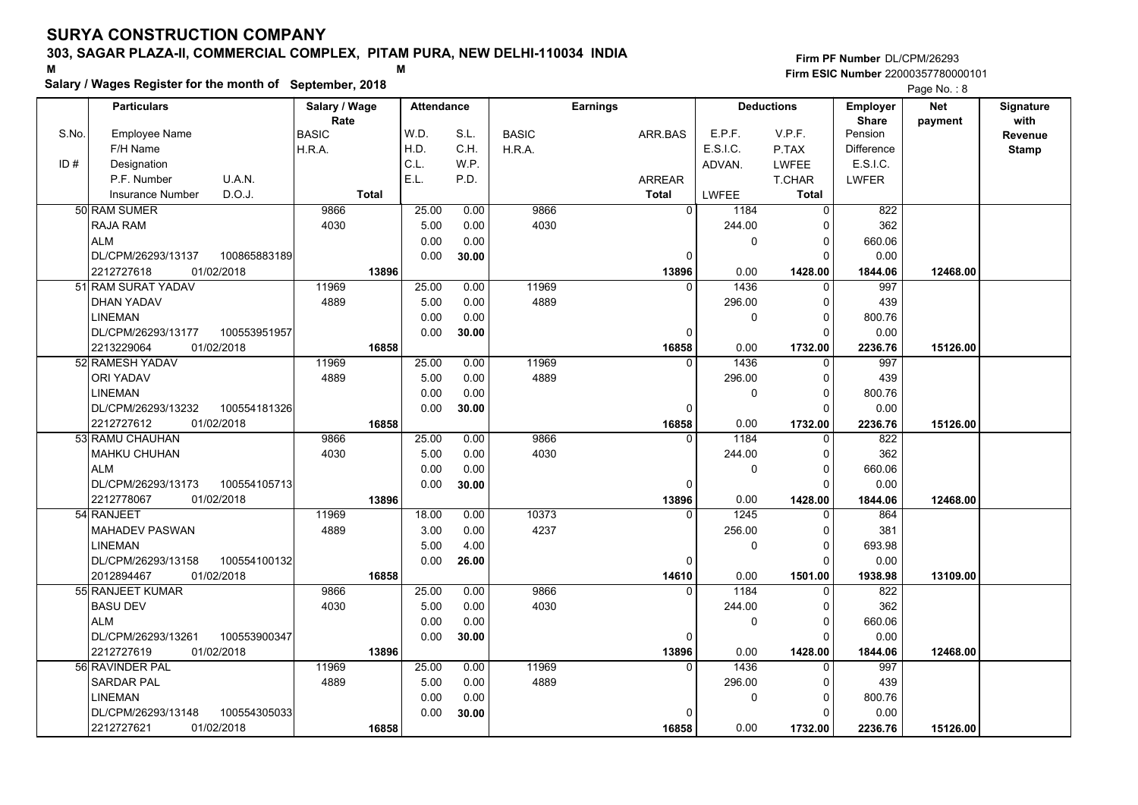# **Salary / Wages Register for the month of September, 2018 <sup>M</sup> <sup>M</sup>**

|       | Salary / wages Register for the month of September, 2018 |               |       |                   |       |              |                 |               |             | Page No.: 8       |                   |            |              |
|-------|----------------------------------------------------------|---------------|-------|-------------------|-------|--------------|-----------------|---------------|-------------|-------------------|-------------------|------------|--------------|
|       | <b>Particulars</b>                                       | Salary / Wage |       | <b>Attendance</b> |       |              | <b>Earnings</b> |               |             | <b>Deductions</b> | <b>Employer</b>   | <b>Net</b> | Signature    |
|       |                                                          | Rate          |       |                   |       |              |                 |               |             |                   | <b>Share</b>      | payment    | with         |
| S.No. | <b>Employee Name</b>                                     | <b>BASIC</b>  | W.D.  |                   | S.L.  | <b>BASIC</b> |                 | ARR.BAS       | E.P.F.      | V.P.F.            | Pension           |            | Revenue      |
|       | F/H Name                                                 | H.R.A.        | H.D.  |                   | C.H.  | H.R.A.       |                 |               | E.S.I.C.    | P.TAX             | <b>Difference</b> |            | <b>Stamp</b> |
| ID#   | Designation                                              |               | C.L.  |                   | W.P.  |              |                 |               | ADVAN.      | <b>LWFEE</b>      | E.S.I.C.          |            |              |
|       | P.F. Number<br>U.A.N.                                    |               | E.L.  |                   | P.D.  |              |                 | <b>ARREAR</b> |             | T.CHAR            | <b>LWFER</b>      |            |              |
|       | D.O.J.<br><b>Insurance Number</b>                        | <b>Total</b>  |       |                   |       |              |                 | <b>Total</b>  | LWFEE       | <b>Total</b>      |                   |            |              |
|       | 50 RAM SUMER                                             | 9866          |       | 25.00             | 0.00  | 9866         |                 | $\Omega$      | 1184        | $\overline{0}$    | 822               |            |              |
|       | <b>RAJA RAM</b>                                          | 4030          |       | 5.00              | 0.00  | 4030         |                 |               | 244.00      | $\Omega$          | 362               |            |              |
|       | <b>ALM</b>                                               |               |       | 0.00              | 0.00  |              |                 |               | 0           | 0                 | 660.06            |            |              |
|       | DL/CPM/26293/13137<br>100865883189                       |               |       | 0.00              | 30.00 |              |                 | 0             |             | $\Omega$          | 0.00              |            |              |
|       | 2212727618<br>01/02/2018                                 |               | 13896 |                   |       |              |                 | 13896         | 0.00        | 1428.00           | 1844.06           | 12468.00   |              |
|       | 51 RAM SURAT YADAV                                       | 11969         |       | 25.00             | 0.00  | 11969        |                 | $\Omega$      | 1436        | $\Omega$          | 997               |            |              |
|       | <b>DHAN YADAV</b>                                        | 4889          |       | 5.00              | 0.00  | 4889         |                 |               | 296.00      | 0                 | 439               |            |              |
|       | LINEMAN                                                  |               |       | 0.00              | 0.00  |              |                 |               | 0           | $\Omega$          | 800.76            |            |              |
|       | DL/CPM/26293/13177<br>100553951957                       |               |       | 0.00              | 30.00 |              |                 | 0             |             | 0                 | 0.00              |            |              |
|       | 2213229064<br>01/02/2018                                 |               | 16858 |                   |       |              |                 | 16858         | 0.00        | 1732.00           | 2236.76           | 15126.00   |              |
|       | 52 RAMESH YADAV                                          | 11969         |       | 25.00             | 0.00  | 11969        |                 | $\Omega$      | 1436        | 0                 | 997               |            |              |
|       | ORI YADAV                                                | 4889          |       | 5.00              | 0.00  | 4889         |                 |               | 296.00      | $\Omega$          | 439               |            |              |
|       | <b>LINEMAN</b>                                           |               |       | 0.00              | 0.00  |              |                 |               | $\mathbf 0$ | $\Omega$          | 800.76            |            |              |
|       | DL/CPM/26293/13232<br>100554181326                       |               |       | 0.00              | 30.00 |              |                 | $\Omega$      |             | $\Omega$          | 0.00              |            |              |
|       | 2212727612<br>01/02/2018                                 |               | 16858 |                   |       |              |                 | 16858         | 0.00        | 1732.00           | 2236.76           | 15126.00   |              |
|       | 53 RAMU CHAUHAN                                          | 9866          |       | 25.00             | 0.00  | 9866         |                 | $\Omega$      | 1184        | $\Omega$          | $\overline{822}$  |            |              |
|       | <b>MAHKU CHUHAN</b>                                      | 4030          |       | 5.00              | 0.00  | 4030         |                 |               | 244.00      | $\Omega$          | 362               |            |              |
|       | <b>ALM</b>                                               |               |       | 0.00              | 0.00  |              |                 |               | $\mathbf 0$ | 0                 | 660.06            |            |              |
|       | DL/CPM/26293/13173<br>100554105713                       |               |       | 0.00              | 30.00 |              |                 | $\Omega$      |             | $\Omega$          | 0.00              |            |              |
|       | 2212778067<br>01/02/2018                                 |               | 13896 |                   |       |              |                 | 13896         | 0.00        | 1428.00           | 1844.06           | 12468.00   |              |
|       | 54 RANJEET                                               | 11969         |       | 18.00             | 0.00  | 10373        |                 | $\Omega$      | 1245        | $\Omega$          | 864               |            |              |
|       | <b>MAHADEV PASWAN</b>                                    | 4889          |       | 3.00              | 0.00  | 4237         |                 |               | 256.00      | $\Omega$          | 381               |            |              |
|       | LINEMAN                                                  |               |       | 5.00              | 4.00  |              |                 |               | 0           | $\Omega$          | 693.98            |            |              |
|       | 100554100132<br>DL/CPM/26293/13158                       |               |       | 0.00              | 26.00 |              |                 | 0             |             | 0                 | 0.00              |            |              |
|       | 01/02/2018<br>2012894467                                 |               | 16858 |                   |       |              |                 | 14610         | 0.00        | 1501.00           | 1938.98           | 13109.00   |              |
|       | 55 RANJEET KUMAR                                         | 9866          |       | 25.00             | 0.00  | 9866         |                 | $\Omega$      | 1184        | 0                 | 822               |            |              |
|       | <b>BASU DEV</b>                                          | 4030          |       | 5.00              | 0.00  | 4030         |                 |               | 244.00      | $\Omega$          | 362               |            |              |
|       | <b>ALM</b>                                               |               |       | 0.00              | 0.00  |              |                 |               | $\mathbf 0$ | $\Omega$          | 660.06            |            |              |
|       | DL/CPM/26293/13261<br>100553900347                       |               |       | 0.00              | 30.00 |              |                 | 0             |             | $\Omega$          | 0.00              |            |              |
|       | 2212727619<br>01/02/2018                                 |               | 13896 |                   |       |              |                 | 13896         | 0.00        | 1428.00           | 1844.06           | 12468.00   |              |
|       | 56 RAVINDER PAL                                          | 11969         |       | 25.00             | 0.00  | 11969        |                 | $\Omega$      | 1436        | $\Omega$          | 997               |            |              |
|       | <b>SARDAR PAL</b>                                        | 4889          |       | 5.00              | 0.00  | 4889         |                 |               | 296.00      | $\Omega$          | 439               |            |              |
|       | <b>LINEMAN</b>                                           |               |       | 0.00              | 0.00  |              |                 |               | 0           | 0                 | 800.76            |            |              |
|       | DL/CPM/26293/13148<br>100554305033                       |               |       | 0.00              | 30.00 |              |                 | $\Omega$      |             | O                 | 0.00              |            |              |
|       | 2212727621<br>01/02/2018                                 |               | 16858 |                   |       |              |                 | 16858         | 0.00        | 1732.00           | 2236.76           | 15126.00   |              |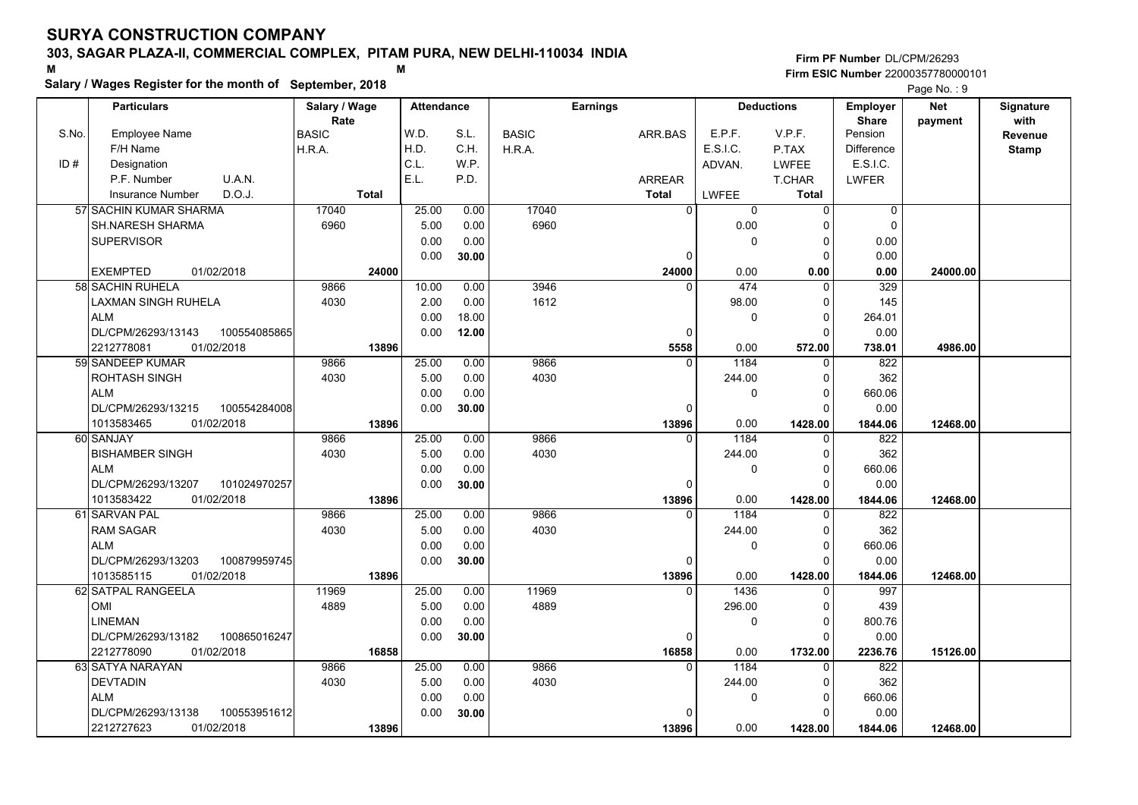# **Salary / Wages Register for the month of September, 2018 <sup>M</sup> <sup>M</sup>**

|       | Salary / Wages Register for the month of September, 2018 |                      |                   |       |              |                 |              | Page No.: 9       |                          |            |                          |
|-------|----------------------------------------------------------|----------------------|-------------------|-------|--------------|-----------------|--------------|-------------------|--------------------------|------------|--------------------------|
|       | <b>Particulars</b>                                       | Salary / Wage        | <b>Attendance</b> |       |              | <b>Earnings</b> |              | <b>Deductions</b> | Employer<br><b>Share</b> | <b>Net</b> | <b>Signature</b><br>with |
| S.No. | <b>Employee Name</b>                                     | Rate<br><b>BASIC</b> | W.D.              | S.L.  | <b>BASIC</b> | ARR.BAS         | E.P.F.       | V.P.F.            | Pension                  | payment    | Revenue                  |
|       | F/H Name                                                 | H.R.A.               | H.D.              | C.H.  | H.R.A.       |                 | E.S.I.C.     | P.TAX             | <b>Difference</b>        |            | <b>Stamp</b>             |
| ID#   | Designation                                              |                      | C.L.              | W.P.  |              |                 | ADVAN.       | <b>LWFEE</b>      | E.S.I.C.                 |            |                          |
|       | P.F. Number<br>U.A.N.                                    |                      | E.L.              | P.D.  |              | ARREAR          |              | T.CHAR            | <b>LWFER</b>             |            |                          |
|       | D.O.J.<br><b>Insurance Number</b>                        | <b>Total</b>         |                   |       |              | <b>Total</b>    | <b>LWFEE</b> | <b>Total</b>      |                          |            |                          |
|       | 57 SACHIN KUMAR SHARMA                                   | 17040                | 25.00             | 0.00  | 17040        | $\overline{0}$  | 0            | $\overline{0}$    | $\pmb{0}$                |            |                          |
|       | SH.NARESH SHARMA                                         | 6960                 | 5.00              | 0.00  | 6960         |                 | 0.00         | $\Omega$          | $\Omega$                 |            |                          |
|       | <b>SUPERVISOR</b>                                        |                      | 0.00              | 0.00  |              |                 | $\mathbf 0$  | 0                 | 0.00                     |            |                          |
|       |                                                          |                      | 0.00              | 30.00 |              | 0               |              | $\Omega$          | 0.00                     |            |                          |
|       | <b>EXEMPTED</b><br>01/02/2018                            | 24000                |                   |       |              | 24000           | 0.00         | 0.00              | 0.00                     | 24000.00   |                          |
|       | 58 SACHIN RUHELA                                         | 9866                 | 10.00             | 0.00  | 3946         |                 | 474          | $\Omega$          | 329                      |            |                          |
|       | <b>LAXMAN SINGH RUHELA</b>                               | 4030                 | 2.00              | 0.00  | 1612         |                 | 98.00        | 0                 | 145                      |            |                          |
|       | <b>ALM</b>                                               |                      | 0.00              | 18.00 |              |                 | 0            | $\Omega$          | 264.01                   |            |                          |
|       | DL/CPM/26293/13143<br>100554085865                       |                      | 0.00              | 12.00 |              | 0               |              | $\Omega$          | 0.00                     |            |                          |
|       | 2212778081<br>01/02/2018                                 | 13896                |                   |       |              | 5558            | 0.00         | 572.00            | 738.01                   | 4986.00    |                          |
|       | 59 SANDEEP KUMAR                                         | 9866                 | 25.00             | 0.00  | 9866         | $\Omega$        | 1184         | $\Omega$          | 822                      |            |                          |
|       | <b>ROHTASH SINGH</b>                                     | 4030                 | 5.00              | 0.00  | 4030         |                 | 244.00       | $\Omega$          | 362                      |            |                          |
|       | <b>ALM</b>                                               |                      | 0.00              | 0.00  |              |                 | $\mathbf 0$  | $\Omega$          | 660.06                   |            |                          |
|       | DL/CPM/26293/13215<br>100554284008                       |                      | 0.00              | 30.00 |              | $\Omega$        |              | $\Omega$          | 0.00                     |            |                          |
|       | 1013583465<br>01/02/2018                                 | 13896                |                   |       |              | 13896           | 0.00         | 1428.00           | 1844.06                  | 12468.00   |                          |
|       | 60 SANJAY                                                | 9866                 | 25.00             | 0.00  | 9866         | $\Omega$        | 1184         | $\Omega$          | 822                      |            |                          |
|       | <b>BISHAMBER SINGH</b>                                   | 4030                 | 5.00              | 0.00  | 4030         |                 | 244.00       | $\Omega$          | 362                      |            |                          |
|       | <b>ALM</b>                                               |                      | 0.00              | 0.00  |              |                 | 0            | $\Omega$          | 660.06                   |            |                          |
|       | 101024970257<br>DL/CPM/26293/13207                       |                      | 0.00              | 30.00 |              | 0               |              | $\Omega$          | 0.00                     |            |                          |
|       | 01/02/2018<br>1013583422                                 | 13896                |                   |       |              | 13896           | 0.00         | 1428.00           | 1844.06                  | 12468.00   |                          |
|       | 61 SARVAN PAL                                            | 9866                 | 25.00             | 0.00  | 9866         | $\Omega$        | 1184         | $\Omega$          | 822                      |            |                          |
|       | <b>RAM SAGAR</b>                                         | 4030                 | 5.00              | 0.00  | 4030         |                 | 244.00       | 0                 | 362                      |            |                          |
|       | <b>ALM</b>                                               |                      | 0.00              | 0.00  |              |                 | $\mathbf 0$  | $\Omega$          | 660.06                   |            |                          |
|       | 100879959745<br>DL/CPM/26293/13203                       |                      | 0.00              | 30.00 |              | 0               |              | $\Omega$          | 0.00                     |            |                          |
|       | 1013585115<br>01/02/2018                                 | 13896                |                   |       |              | 13896           | 0.00         | 1428.00           | 1844.06                  | 12468.00   |                          |
|       | 62 SATPAL RANGEELA                                       | 11969                | 25.00             | 0.00  | 11969        | 0               | 1436         | 0                 | 997                      |            |                          |
|       | OMI                                                      | 4889                 | 5.00              | 0.00  | 4889         |                 | 296.00       | 0                 | 439                      |            |                          |
|       | <b>LINEMAN</b>                                           |                      | 0.00              | 0.00  |              |                 | $\mathbf 0$  | $\Omega$          | 800.76                   |            |                          |
|       | DL/CPM/26293/13182<br>100865016247                       |                      | 0.00              | 30.00 |              | $\Omega$        |              | $\Omega$          | 0.00                     |            |                          |
|       | 2212778090<br>01/02/2018                                 | 16858                |                   |       |              | 16858           | 0.00         | 1732.00           | 2236.76                  | 15126.00   |                          |
|       | 63 SATYA NARAYAN                                         | 9866                 | 25.00             | 0.00  | 9866         | $\Omega$        | 1184         | $\Omega$          | 822                      |            |                          |
|       | <b>DEVTADIN</b>                                          | 4030                 | 5.00              | 0.00  | 4030         |                 | 244.00       | $\Omega$          | 362                      |            |                          |
|       | <b>ALM</b>                                               |                      | 0.00              | 0.00  |              |                 | 0            | $\Omega$          | 660.06                   |            |                          |
|       | 100553951612<br>DL/CPM/26293/13138                       |                      | 0.00              | 30.00 |              |                 |              | O                 | 0.00                     |            |                          |
|       | 01/02/2018<br>2212727623                                 | 13896                |                   |       |              | 13896           | 0.00         | 1428.00           | 1844.06                  | 12468.00   |                          |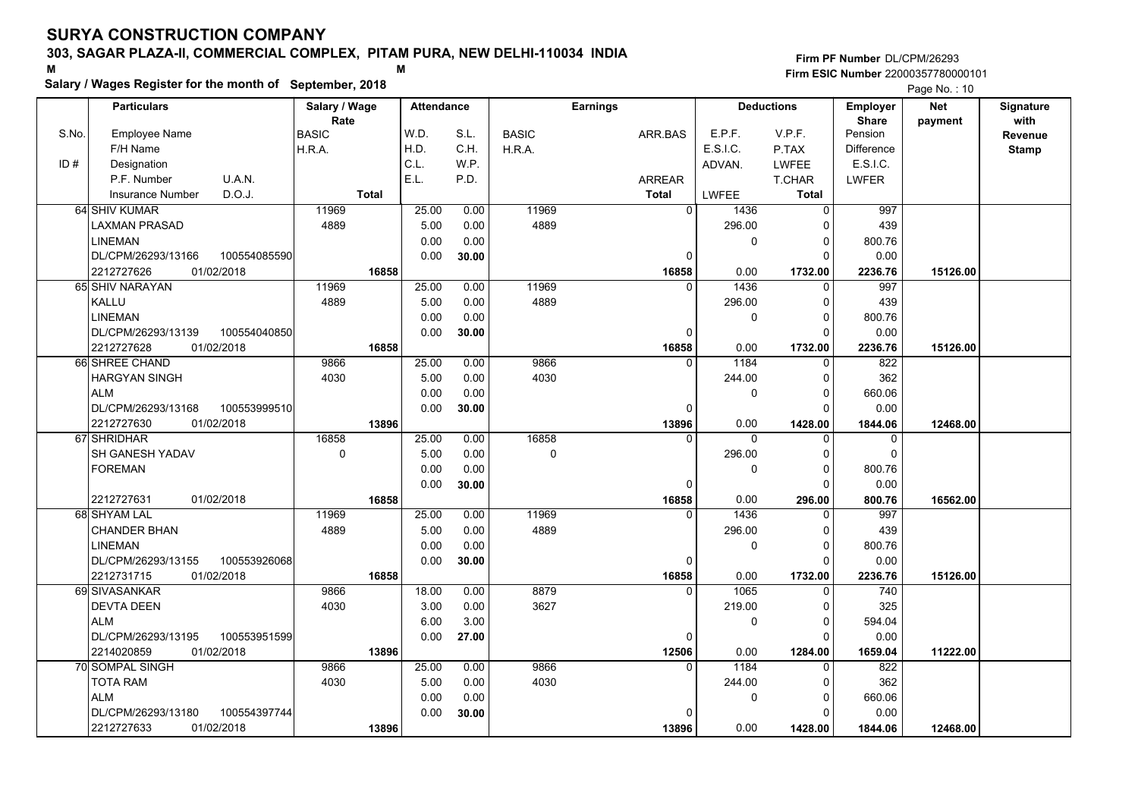# **Salary / Wages Register for the month of September, 2018 <sup>M</sup> <sup>M</sup>**

|       | Salary / wages Register for the month of September, 2018 |               |       |                   |       |              |                 |                | Page No.: 10 |                   |                   |            |              |
|-------|----------------------------------------------------------|---------------|-------|-------------------|-------|--------------|-----------------|----------------|--------------|-------------------|-------------------|------------|--------------|
|       | <b>Particulars</b>                                       | Salary / Wage |       | <b>Attendance</b> |       |              | <b>Earnings</b> |                |              | <b>Deductions</b> | <b>Employer</b>   | <b>Net</b> | Signature    |
|       |                                                          | Rate          |       |                   |       |              |                 |                |              |                   | <b>Share</b>      | payment    | with         |
| S.No. | <b>Employee Name</b>                                     | <b>BASIC</b>  |       | W.D.              | S.L.  | <b>BASIC</b> |                 | ARR.BAS        | E.P.F.       | V.P.F.            | Pension           |            | Revenue      |
|       | F/H Name                                                 | H.R.A.        |       | H.D.              | C.H.  | H.R.A.       |                 |                | E.S.I.C.     | P.TAX             | <b>Difference</b> |            | <b>Stamp</b> |
| ID#   | Designation                                              |               |       | C.L.              | W.P.  |              |                 |                | ADVAN.       | <b>LWFEE</b>      | E.S.I.C.          |            |              |
|       | P.F. Number<br>U.A.N.                                    |               |       | E.L.              | P.D.  |              |                 | <b>ARREAR</b>  |              | <b>T.CHAR</b>     | <b>LWFER</b>      |            |              |
|       | D.O.J.<br><b>Insurance Number</b>                        | <b>Total</b>  |       |                   |       |              |                 | <b>Total</b>   | <b>LWFEE</b> | <b>Total</b>      |                   |            |              |
|       | 64 SHIV KUMAR                                            | 11969         |       | 25.00             | 0.00  | 11969        |                 | $\overline{0}$ | 1436         | $\mathbf 0$       | 997               |            |              |
|       | LAXMAN PRASAD                                            | 4889          |       | 5.00              | 0.00  | 4889         |                 |                | 296.00       | $\Omega$          | 439               |            |              |
|       | <b>LINEMAN</b>                                           |               |       | 0.00              | 0.00  |              |                 |                | 0            | $\mathbf 0$       | 800.76            |            |              |
|       | DL/CPM/26293/13166<br>100554085590                       |               |       | 0.00              | 30.00 |              |                 | 0              |              | $\Omega$          | 0.00              |            |              |
|       | 2212727626<br>01/02/2018                                 |               | 16858 |                   |       |              |                 | 16858          | 0.00         | 1732.00           | 2236.76           | 15126.00   |              |
|       | 65 SHIV NARAYAN                                          | 11969         |       | 25.00             | 0.00  | 11969        |                 | $\Omega$       | 1436         | $\Omega$          | 997               |            |              |
|       | <b>KALLU</b>                                             | 4889          |       | 5.00              | 0.00  | 4889         |                 |                | 296.00       | 0                 | 439               |            |              |
|       | <b>LINEMAN</b>                                           |               |       | 0.00              | 0.00  |              |                 |                | 0            | $\Omega$          | 800.76            |            |              |
|       | DL/CPM/26293/13139<br>100554040850                       |               |       | 0.00              | 30.00 |              |                 | 0              |              | $\Omega$          | 0.00              |            |              |
|       | 2212727628<br>01/02/2018                                 |               | 16858 |                   |       |              |                 | 16858          | 0.00         | 1732.00           | 2236.76           | 15126.00   |              |
|       | 66 SHREE CHAND                                           | 9866          |       | 25.00             | 0.00  | 9866         |                 | $\Omega$       | 1184         | 0                 | 822               |            |              |
|       | <b>HARGYAN SINGH</b>                                     | 4030          |       | 5.00              | 0.00  | 4030         |                 |                | 244.00       | $\mathbf 0$       | 362               |            |              |
|       | <b>ALM</b>                                               |               |       | 0.00              | 0.00  |              |                 |                | 0            | $\Omega$          | 660.06            |            |              |
|       | 100553999510<br>DL/CPM/26293/13168                       |               |       | 0.00              | 30.00 |              |                 | $\Omega$       |              | $\Omega$          | 0.00              |            |              |
|       | 2212727630<br>01/02/2018                                 |               | 13896 |                   |       |              |                 | 13896          | 0.00         | 1428.00           | 1844.06           | 12468.00   |              |
|       | 67 SHRIDHAR                                              | 16858         |       | 25.00             | 0.00  | 16858        |                 | $\Omega$       | 0            | $\Omega$          | 0                 |            |              |
|       | <b>SH GANESH YADAV</b>                                   | $\mathbf 0$   |       | 5.00              | 0.00  | $\Omega$     |                 |                | 296.00       | $\Omega$          | 0                 |            |              |
|       | <b>FOREMAN</b>                                           |               |       | 0.00              | 0.00  |              |                 |                | 0            | $\mathbf 0$       | 800.76            |            |              |
|       |                                                          |               |       | 0.00              | 30.00 |              |                 | $\Omega$       |              | $\Omega$          | 0.00              |            |              |
|       | 2212727631<br>01/02/2018                                 |               | 16858 |                   |       |              |                 | 16858          | 0.00         | 296.00            | 800.76            | 16562.00   |              |
|       | 68 SHYAM LAL                                             | 11969         |       | 25.00             | 0.00  | 11969        |                 | $\Omega$       | 1436         | $\Omega$          | 997               |            |              |
|       | <b>CHANDER BHAN</b>                                      | 4889          |       | 5.00              | 0.00  | 4889         |                 |                | 296.00       | 0                 | 439               |            |              |
|       | LINEMAN                                                  |               |       | 0.00              | 0.00  |              |                 |                | 0            | $\Omega$          | 800.76            |            |              |
|       | 100553926068<br>DL/CPM/26293/13155                       |               |       | 0.00              | 30.00 |              |                 | 0              |              | $\Omega$          | 0.00              |            |              |
|       | 2212731715<br>01/02/2018                                 |               | 16858 |                   |       |              |                 | 16858          | 0.00         | 1732.00           | 2236.76           | 15126.00   |              |
|       | 69 SIVASANKAR                                            | 9866          |       | 18.00             | 0.00  | 8879         |                 | $\Omega$       | 1065         | 0                 | 740               |            |              |
|       | <b>DEVTA DEEN</b>                                        | 4030          |       | 3.00              | 0.00  | 3627         |                 |                | 219.00       | $\Omega$          | 325               |            |              |
|       | <b>ALM</b>                                               |               |       | 6.00              | 3.00  |              |                 |                | 0            | $\Omega$          | 594.04            |            |              |
|       | DL/CPM/26293/13195<br>100553951599                       |               |       | 0.00              | 27.00 |              |                 | $\Omega$       |              | $\Omega$          | 0.00              |            |              |
|       | 2214020859<br>01/02/2018                                 |               | 13896 |                   |       |              |                 | 12506          | 0.00         | 1284.00           | 1659.04           | 11222.00   |              |
|       | <b>70 SOMPAL SINGH</b>                                   | 9866          |       | 25.00             | 0.00  | 9866         |                 | $\Omega$       | 1184         | $\Omega$          | 822               |            |              |
|       | <b>TOTA RAM</b>                                          | 4030          |       | 5.00              | 0.00  | 4030         |                 |                | 244.00       | $\Omega$          | 362               |            |              |
|       | <b>ALM</b>                                               |               |       | 0.00              | 0.00  |              |                 |                | 0            | 0                 | 660.06            |            |              |
|       | DL/CPM/26293/13180<br>100554397744                       |               |       | 0.00              | 30.00 |              |                 | $\Omega$       |              | $\Omega$          | 0.00              |            |              |
|       | 01/02/2018<br>2212727633                                 |               | 13896 |                   |       |              |                 | 13896          | 0.00         | 1428.00           | 1844.06           | 12468.00   |              |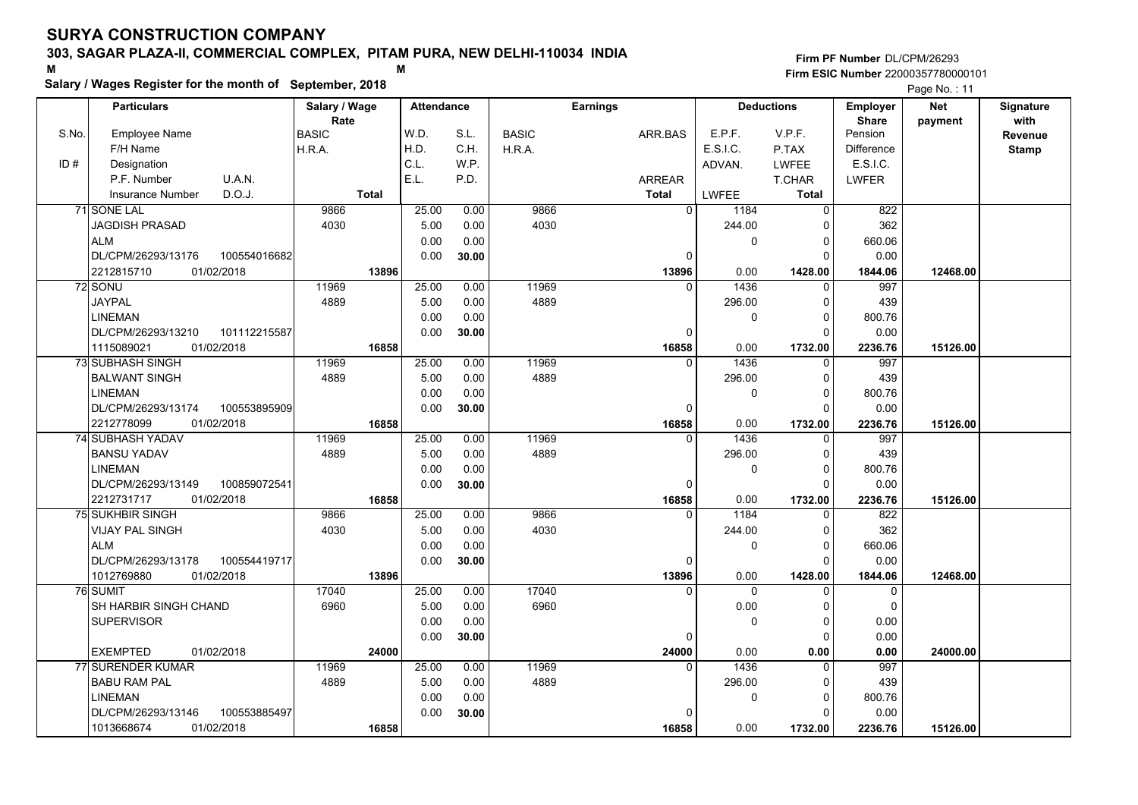# **Salary / Wages Register for the month of September, 2018 <sup>M</sup> <sup>M</sup>**

|       | Salary / wages Register for the month of September, 2018 |               |                   |       |              |                 |                      |                   | Page No.: 11      |            |              |
|-------|----------------------------------------------------------|---------------|-------------------|-------|--------------|-----------------|----------------------|-------------------|-------------------|------------|--------------|
|       | <b>Particulars</b>                                       | Salary / Wage | <b>Attendance</b> |       |              | <b>Earnings</b> |                      | <b>Deductions</b> | <b>Employer</b>   | <b>Net</b> | Signature    |
|       |                                                          | Rate          |                   |       |              |                 |                      |                   | <b>Share</b>      | payment    | with         |
| S.No. | <b>Employee Name</b>                                     | <b>BASIC</b>  | W.D.              | S.L.  | <b>BASIC</b> | ARR.BAS         | E.P.F.               | V.P.F.            | Pension           |            | Revenue      |
|       | F/H Name                                                 | H.R.A.        | H.D.              | C.H.  | H.R.A.       |                 | E.S.I.C.             | P.TAX             | <b>Difference</b> |            | <b>Stamp</b> |
| ID#   | Designation                                              |               | C.L.              | W.P.  |              |                 | ADVAN.               | <b>LWFEE</b>      | E.S.I.C.          |            |              |
|       | P.F. Number<br>U.A.N.                                    |               | E.L.              | P.D.  |              | <b>ARREAR</b>   |                      | <b>T.CHAR</b>     | <b>LWFER</b>      |            |              |
|       | D.O.J.<br><b>Insurance Number</b>                        | <b>Total</b>  |                   |       |              | <b>Total</b>    | LWFEE                | <b>Total</b>      |                   |            |              |
|       | 71 SONE LAL                                              | 9866          | 25.00             | 0.00  | 9866         |                 | $\Omega$<br>1184     | $\Omega$          | 822               |            |              |
|       | <b>JAGDISH PRASAD</b>                                    | 4030          | 5.00              | 0.00  | 4030         |                 | 244.00               | $\Omega$          | 362               |            |              |
|       | <b>ALM</b>                                               |               | 0.00              | 0.00  |              |                 | 0                    | 0                 | 660.06            |            |              |
|       | DL/CPM/26293/13176<br>100554016682                       |               | 0.00              | 30.00 |              |                 | 0                    | $\Omega$          | 0.00              |            |              |
|       | 2212815710<br>01/02/2018                                 | 13896         |                   |       |              | 13896           | 0.00                 | 1428.00           | 1844.06           | 12468.00   |              |
|       | 72 SONU                                                  | 11969         | 25.00             | 0.00  | 11969        |                 | 1436<br><sup>0</sup> | $\Omega$          | 997               |            |              |
|       | <b>JAYPAL</b>                                            | 4889          | 5.00              | 0.00  | 4889         |                 | 296.00               | 0                 | 439               |            |              |
|       | LINEMAN                                                  |               | 0.00              | 0.00  |              |                 | 0                    | ŋ                 | 800.76            |            |              |
|       | DL/CPM/26293/13210<br>101112215587                       |               | 0.00              | 30.00 |              |                 | $\Omega$             | $\Omega$          | 0.00              |            |              |
|       | 1115089021<br>01/02/2018                                 | 16858         |                   |       |              | 16858           | 0.00                 | 1732.00           | 2236.76           | 15126.00   |              |
|       | 73 SUBHASH SINGH                                         | 11969         | 25.00             | 0.00  | 11969        |                 | 1436<br>$\Omega$     | $\Omega$          | 997               |            |              |
|       | <b>BALWANT SINGH</b>                                     | 4889          | 5.00              | 0.00  | 4889         |                 | 296.00               | 0                 | 439               |            |              |
|       | <b>LINEMAN</b>                                           |               | 0.00              | 0.00  |              |                 | 0                    | $\Omega$          | 800.76            |            |              |
|       | DL/CPM/26293/13174<br>100553895909                       |               | 0.00              | 30.00 |              |                 | $\Omega$             | $\Omega$          | 0.00              |            |              |
|       | 2212778099<br>01/02/2018                                 | 16858         |                   |       |              | 16858           | 0.00                 | 1732.00           | 2236.76           | 15126.00   |              |
|       | <b>74 SUBHASH YADAV</b>                                  | 11969         | 25.00             | 0.00  | 11969        |                 | 1436<br>0            | $\Omega$          | 997               |            |              |
|       | <b>BANSU YADAV</b>                                       | 4889          | 5.00              | 0.00  | 4889         |                 | 296.00               | $\Omega$          | 439               |            |              |
|       | LINEMAN                                                  |               | 0.00              | 0.00  |              |                 | 0                    | 0                 | 800.76            |            |              |
|       | DL/CPM/26293/13149<br>100859072541                       |               | 0.00              | 30.00 |              |                 | $\Omega$             | $\Omega$          | 0.00              |            |              |
|       | 2212731717<br>01/02/2018                                 | 16858         |                   |       |              | 16858           | 0.00                 | 1732.00           | 2236.76           | 15126.00   |              |
|       | 75 SUKHBIR SINGH                                         | 9866          | 25.00             | 0.00  | 9866         |                 | 1184<br>0            | 0                 | 822               |            |              |
|       | <b>VIJAY PAL SINGH</b>                                   | 4030          | 5.00              | 0.00  | 4030         |                 | 244.00               | 0                 | 362               |            |              |
|       | <b>ALM</b>                                               |               | 0.00              | 0.00  |              |                 | 0                    | $\Omega$          | 660.06            |            |              |
|       | 100554419717<br>DL/CPM/26293/13178                       |               | 0.00              | 30.00 |              |                 | 0                    | $\Omega$          | 0.00              |            |              |
|       | 01/02/2018<br>1012769880                                 | 13896         |                   |       |              | 13896           | 0.00                 | 1428.00           | 1844.06           | 12468.00   |              |
|       | 76 SUMIT                                                 | 17040         | 25.00             | 0.00  | 17040        |                 | 0<br>0               | $\Omega$          | 0                 |            |              |
|       | SH HARBIR SINGH CHAND                                    | 6960          | 5.00              | 0.00  | 6960         |                 | 0.00                 | $\Omega$          | $\Omega$          |            |              |
|       | <b>SUPERVISOR</b>                                        |               | 0.00              | 0.00  |              |                 | 0                    | 0                 | 0.00              |            |              |
|       |                                                          |               | 0.00              | 30.00 |              |                 | 0                    | ŋ                 | 0.00              |            |              |
|       | <b>EXEMPTED</b><br>01/02/2018                            | 24000         |                   |       |              | 24000           | 0.00                 | 0.00              | 0.00              | 24000.00   |              |
|       | 77 SURENDER KUMAR                                        | 11969         | 25.00             | 0.00  | 11969        |                 | 1436<br>$\Omega$     | $\Omega$          | 997               |            |              |
|       | <b>BABU RAM PAL</b>                                      | 4889          | 5.00              | 0.00  | 4889         |                 | 296.00               | O                 | 439               |            |              |
|       | LINEMAN                                                  |               | 0.00              | 0.00  |              |                 | 0                    | 0                 | 800.76            |            |              |
|       | DL/CPM/26293/13146<br>100553885497                       |               | 0.00              | 30.00 |              |                 |                      | C                 | 0.00              |            |              |
|       | 1013668674<br>01/02/2018                                 | 16858         |                   |       |              | 16858           | 0.00                 | 1732.00           | 2236.76           | 15126.00   |              |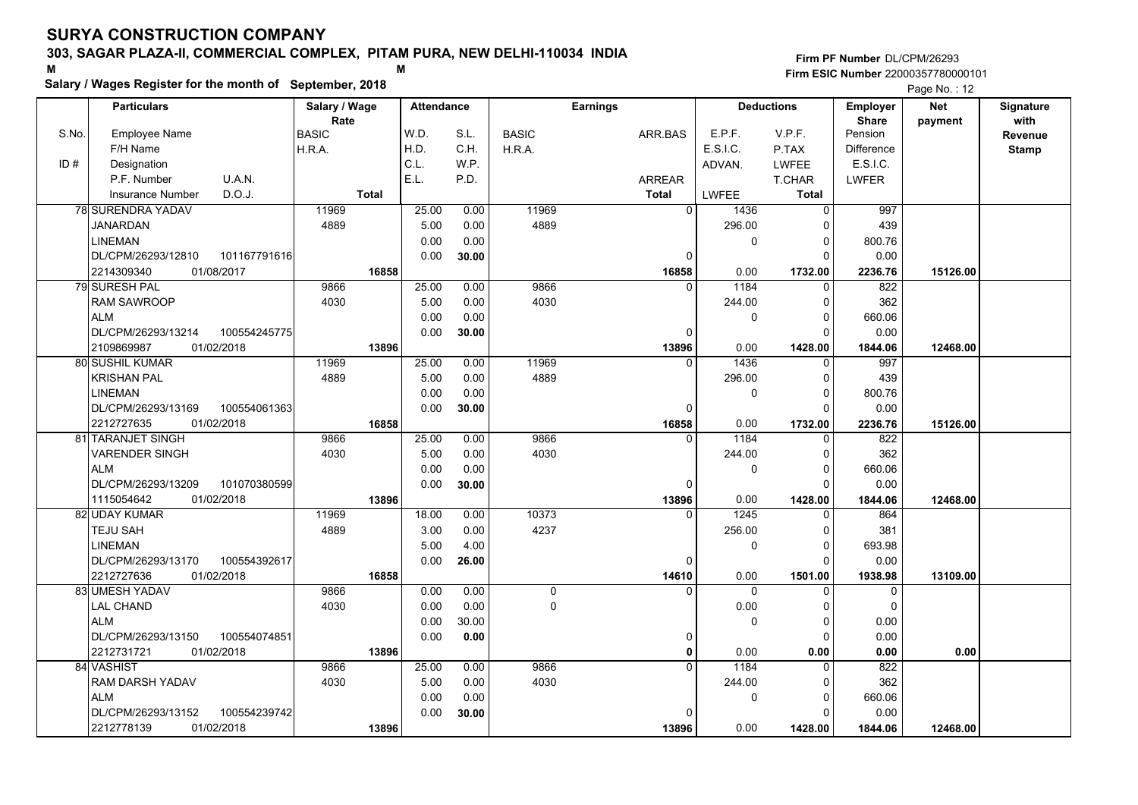# **Salary / Wages Register for the month of September, 2018 <sup>M</sup> <sup>M</sup>**

|       | Salary / Wages Register for the month of September, 2018 |               |                   |       |              |                 |                |                      |                  | Page No.: 12 |              |
|-------|----------------------------------------------------------|---------------|-------------------|-------|--------------|-----------------|----------------|----------------------|------------------|--------------|--------------|
|       | <b>Particulars</b>                                       | Salary / Wage | <b>Attendance</b> |       |              | <b>Earnings</b> |                | <b>Deductions</b>    | <b>Employer</b>  | <b>Net</b>   | Signature    |
|       |                                                          | Rate          |                   |       |              |                 |                |                      | <b>Share</b>     | payment      | with         |
| S.No. | Employee Name                                            | <b>BASIC</b>  | W.D.              | S.L.  | <b>BASIC</b> | ARR.BAS         | E.P.F.         | V.P.F.               | Pension          |              | Revenue      |
|       | F/H Name                                                 | H.R.A.        | H.D.              | C.H.  | H.R.A.       |                 | E.S.I.C.       | P.TAX                | Difference       |              | <b>Stamp</b> |
| ID#   | Designation                                              |               | C.L.              | W.P.  |              |                 | ADVAN.         | <b>LWFEE</b>         | E.S.I.C.         |              |              |
|       | P.F. Number<br>U.A.N.                                    |               | E.L.              | P.D.  |              | ARREAR          |                | T.CHAR               | <b>LWFER</b>     |              |              |
|       | D.O.J.<br><b>Insurance Number</b>                        | <b>Total</b>  |                   |       |              | <b>Total</b>    | <b>LWFEE</b>   | <b>Total</b>         |                  |              |              |
|       | 78 SURENDRA YADAV                                        | 11969         | 25.00             | 0.00  | 11969        |                 | $\overline{0}$ | 1436<br>$\Omega$     | 997              |              |              |
|       | <b>JANARDAN</b>                                          | 4889          | 5.00              | 0.00  | 4889         |                 |                | 296.00               | 439              |              |              |
|       | LINEMAN                                                  |               | 0.00              | 0.00  |              |                 |                | 0<br>$\Omega$        | 800.76           |              |              |
|       | 101167791616<br>DL/CPM/26293/12810                       |               | 0.00              | 30.00 |              |                 | $\Omega$       | $\Omega$             | 0.00             |              |              |
|       | 2214309340<br>01/08/2017                                 | 16858         |                   |       |              | 16858           |                | 0.00<br>1732.00      | 2236.76          | 15126.00     |              |
|       | 79 SURESH PAL                                            | 9866          | 25.00             | 0.00  | 9866         |                 | 0              | 1184<br>$\Omega$     | 822              |              |              |
|       | <b>RAM SAWROOP</b>                                       | 4030          | 5.00              | 0.00  | 4030         |                 |                | 244.00<br>$\Omega$   | 362              |              |              |
|       | <b>ALM</b>                                               |               | 0.00              | 0.00  |              |                 |                | 0                    | 660.06           |              |              |
|       | DL/CPM/26293/13214<br>100554245775                       |               | 0.00              | 30.00 |              |                 | 0              | O                    | 0.00             |              |              |
|       | 2109869987<br>01/02/2018                                 | 13896         |                   |       |              | 13896           |                | 0.00<br>1428.00      | 1844.06          | 12468.00     |              |
|       | 80 SUSHIL KUMAR                                          | 11969         | 25.00             | 0.00  | 11969        |                 | $\Omega$       | 1436<br>$\mathbf{0}$ | 997              |              |              |
|       | <b>KRISHAN PAL</b>                                       | 4889          | 5.00              | 0.00  | 4889         |                 |                | 296.00<br>$\Omega$   | 439              |              |              |
|       | <b>LINEMAN</b>                                           |               | 0.00              | 0.00  |              |                 |                | 0<br>0               | 800.76           |              |              |
|       | DL/CPM/26293/13169<br>100554061363                       |               | 0.00              | 30.00 |              |                 | $\Omega$       |                      | 0.00             |              |              |
|       | 2212727635<br>01/02/2018                                 | 16858         |                   |       |              | 16858           |                | 0.00<br>1732.00      | 2236.76          | 15126.00     |              |
|       | <b>81 TARANJET SINGH</b>                                 | 9866          | 25.00             | 0.00  | 9866         |                 | $\Omega$       | 1184                 | $\overline{822}$ |              |              |
|       | VARENDER SINGH                                           | 4030          | 5.00              | 0.00  | 4030         |                 |                | 244.00<br>$\Omega$   | 362              |              |              |
|       | <b>ALM</b>                                               |               | 0.00              | 0.00  |              |                 |                | 0<br>$\Omega$        | 660.06           |              |              |
|       | 101070380599<br>DL/CPM/26293/13209                       |               | 0.00              | 30.00 |              |                 | 0              | $\Omega$             | 0.00             |              |              |
|       | 01/02/2018<br>1115054642                                 | 13896         |                   |       |              | 13896           |                | 0.00<br>1428.00      | 1844.06          | 12468.00     |              |
|       | 82 UDAY KUMAR                                            | 11969         | 18.00             | 0.00  | 10373        |                 |                | 1245<br>$\Omega$     | 864              |              |              |
|       | TEJU SAH                                                 | 4889          | 3.00              | 0.00  | 4237         |                 |                | 256.00<br>$\Omega$   | 381              |              |              |
|       | <b>LINEMAN</b>                                           |               | 5.00              | 4.00  |              |                 |                | 0<br>O               | 693.98           |              |              |
|       | 100554392617<br>DL/CPM/26293/13170                       |               | 0.00              | 26.00 |              |                 | $\Omega$       |                      | 0.00             |              |              |
|       | 2212727636<br>01/02/2018                                 | 16858         |                   |       |              | 14610           |                | 0.00<br>1501.00      | 1938.98          | 13109.00     |              |
|       | 83 UMESH YADAV                                           | 9866          | 0.00              | 0.00  | $\mathsf{O}$ |                 | 0              | 0<br>$\mathbf{0}$    | 0                |              |              |
|       | <b>LAL CHAND</b>                                         | 4030          | 0.00              | 0.00  | $\mathbf 0$  |                 |                | 0.00<br>∩            | $\Omega$         |              |              |
|       | <b>ALM</b>                                               |               | 0.00              | 30.00 |              |                 |                | $\Omega$<br>O        | 0.00             |              |              |
|       | DL/CPM/26293/13150<br>100554074851                       |               | 0.00              | 0.00  |              |                 | 0              |                      | 0.00             |              |              |
|       | 2212731721<br>01/02/2018                                 | 13896         |                   |       |              |                 | 0              | 0.00<br>0.00         | 0.00             | 0.00         |              |
|       | 84 VASHIST                                               | 9866          | 25.00             | 0.00  | 9866         |                 | $\Omega$       | 1184<br>$\Omega$     | 822              |              |              |
|       | RAM DARSH YADAV                                          | 4030          | 5.00              | 0.00  | 4030         |                 |                | 244.00               | 362              |              |              |
|       | <b>ALM</b>                                               |               | 0.00              | 0.00  |              |                 |                | 0<br>$\Omega$        | 660.06           |              |              |
|       | 100554239742<br>DL/CPM/26293/13152                       |               | 0.00              | 30.00 |              |                 |                |                      | 0.00             |              |              |
|       | 2212778139<br>01/02/2018                                 | 13896         |                   |       |              | 13896           |                | 0.00<br>1428.00      | 1844.06          | 12468.00     |              |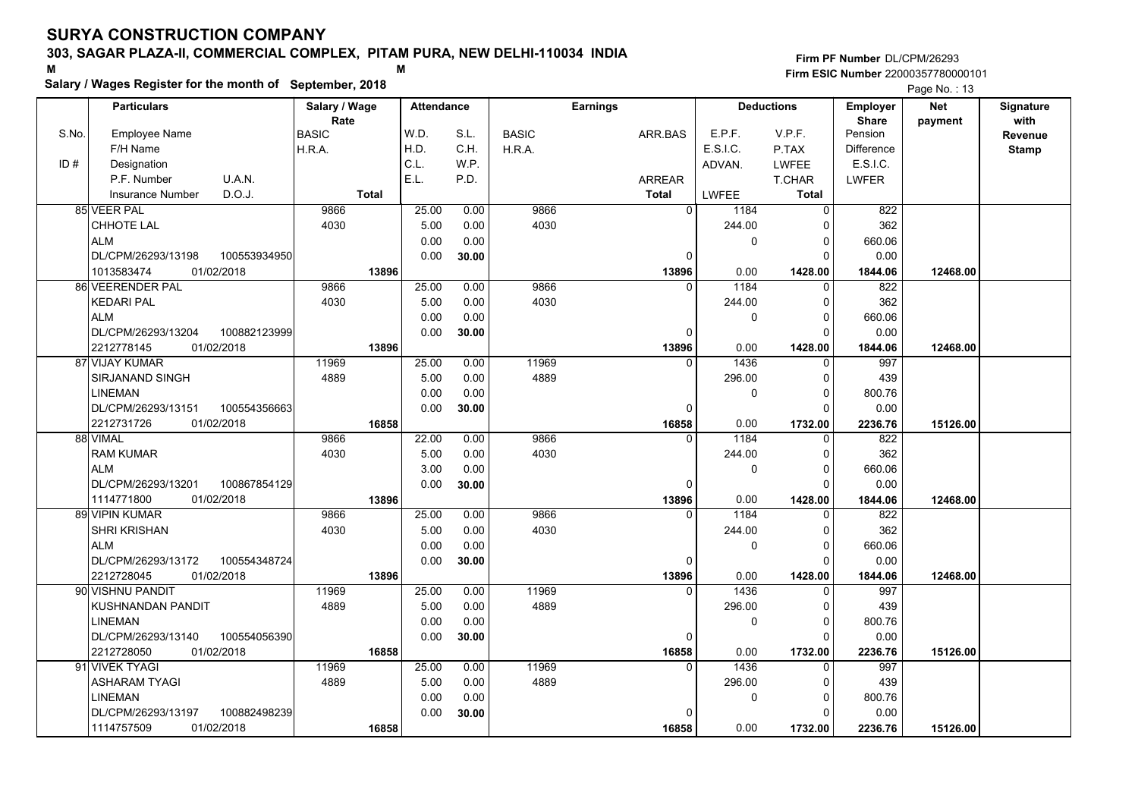# **Salary / Wages Register for the month of September, 2018 <sup>M</sup> <sup>M</sup>**

|       | Salary / wages Register for the month of September, 2018 |               |       |                   |              |                 |                   |              | Page No.: 13 |                   |            |              |
|-------|----------------------------------------------------------|---------------|-------|-------------------|--------------|-----------------|-------------------|--------------|--------------|-------------------|------------|--------------|
|       | <b>Particulars</b>                                       | Salary / Wage |       | <b>Attendance</b> |              | <b>Earnings</b> | <b>Deductions</b> |              |              | <b>Employer</b>   | <b>Net</b> | Signature    |
|       |                                                          | Rate          |       |                   |              |                 |                   |              |              | <b>Share</b>      | payment    | with         |
| S.No. | <b>Employee Name</b>                                     | <b>BASIC</b>  | W.D.  | S.L.              | <b>BASIC</b> | ARR.BAS         |                   | E.P.F.       | V.P.F.       | Pension           |            | Revenue      |
|       | F/H Name                                                 | H.R.A.        | H.D.  | C.H.              | H.R.A.       |                 |                   | E.S.I.C.     | P.TAX        | <b>Difference</b> |            | <b>Stamp</b> |
| ID#   | Designation                                              |               | C.L.  | W.P.              |              |                 |                   | ADVAN.       | <b>LWFEE</b> | E.S.I.C.          |            |              |
|       | U.A.N.<br>P.F. Number                                    |               | E.L.  | P.D.              |              | <b>ARREAR</b>   |                   |              | T.CHAR       | <b>LWFER</b>      |            |              |
|       | D.O.J.<br>Insurance Number                               | <b>Total</b>  |       |                   |              | <b>Total</b>    |                   | <b>LWFEE</b> | Total        |                   |            |              |
|       | 85 VEER PAL                                              | 9866          | 25.00 | 0.00              | 9866         |                 | $\Omega$          | 1184         | $\Omega$     | 822               |            |              |
|       | <b>CHHOTE LAL</b>                                        | 4030          | 5.00  | 0.00              | 4030         |                 |                   | 244.00       | $\Omega$     | 362               |            |              |
|       | <b>ALM</b>                                               |               | 0.00  | 0.00              |              |                 |                   | 0            | 0            | 660.06            |            |              |
|       | DL/CPM/26293/13198<br>100553934950                       |               | 0.00  | 30.00             |              |                 | 0                 |              | $\Omega$     | 0.00              |            |              |
|       | 1013583474<br>01/02/2018                                 | 13896         |       |                   |              |                 | 13896             | 0.00         | 1428.00      | 1844.06           | 12468.00   |              |
|       | 86 VEERENDER PAL                                         | 9866          | 25.00 | 0.00              | 9866         |                 | $\Omega$          | 1184         | $\Omega$     | 822               |            |              |
|       | <b>KEDARI PAL</b>                                        | 4030          | 5.00  | 0.00              | 4030         |                 |                   | 244.00       | 0            | 362               |            |              |
|       | <b>ALM</b>                                               |               | 0.00  | 0.00              |              |                 |                   | 0            | $\Omega$     | 660.06            |            |              |
|       | DL/CPM/26293/13204<br>100882123999                       |               | 0.00  | 30.00             |              |                 | $\Omega$          |              | 0            | 0.00              |            |              |
|       | 2212778145<br>01/02/2018                                 | 13896         |       |                   |              |                 | 13896             | 0.00         | 1428.00      | 1844.06           | 12468.00   |              |
|       | 87 VIJAY KUMAR                                           | 11969         | 25.00 | 0.00              | 11969        |                 | $\Omega$          | 1436         | 0            | 997               |            |              |
|       | <b>SIRJANAND SINGH</b>                                   | 4889          | 5.00  | 0.00              | 4889         |                 |                   | 296.00       | 0            | 439               |            |              |
|       | <b>LINEMAN</b>                                           |               | 0.00  | 0.00              |              |                 |                   | $\Omega$     | $\Omega$     | 800.76            |            |              |
|       | DL/CPM/26293/13151<br>100554356663                       |               | 0.00  | 30.00             |              |                 | $\Omega$          |              | $\Omega$     | 0.00              |            |              |
|       | 2212731726<br>01/02/2018                                 | 16858         |       |                   |              |                 | 16858             | 0.00         | 1732.00      | 2236.76           | 15126.00   |              |
|       | 88 VIMAL                                                 | 9866          | 22.00 | 0.00              | 9866         |                 | $\Omega$          | 1184         | $\Omega$     | $\overline{822}$  |            |              |
|       | <b>RAM KUMAR</b>                                         | 4030          | 5.00  | 0.00              | 4030         |                 |                   | 244.00       | $\Omega$     | 362               |            |              |
|       | <b>ALM</b>                                               |               | 3.00  | 0.00              |              |                 |                   | 0            | 0            | 660.06            |            |              |
|       | DL/CPM/26293/13201<br>100867854129                       |               | 0.00  | 30.00             |              |                 | $\Omega$          |              | $\Omega$     | 0.00              |            |              |
|       | 1114771800<br>01/02/2018                                 | 13896         |       |                   |              |                 | 13896             | 0.00         | 1428.00      | 1844.06           | 12468.00   |              |
|       | 89 VIPIN KUMAR                                           | 9866          | 25.00 | 0.00              | 9866         |                 | $\Omega$          | 1184         | $\Omega$     | 822               |            |              |
|       | <b>SHRI KRISHAN</b>                                      | 4030          | 5.00  | 0.00              | 4030         |                 |                   | 244.00       | 0            | 362               |            |              |
|       | <b>ALM</b>                                               |               | 0.00  | 0.00              |              |                 |                   | 0            | $\Omega$     | 660.06            |            |              |
|       | DL/CPM/26293/13172<br>100554348724                       |               | 0.00  | 30.00             |              |                 | 0                 |              | 0            | 0.00              |            |              |
|       | 01/02/2018<br>2212728045                                 | 13896         |       |                   |              |                 | 13896             | 0.00         | 1428.00      | 1844.06           | 12468.00   |              |
|       | 90 VISHNU PANDIT                                         | 11969         | 25.00 | 0.00              | 11969        |                 | $\Omega$          | 1436         | 0            | 997               |            |              |
|       | KUSHNANDAN PANDIT                                        | 4889          | 5.00  | 0.00              | 4889         |                 |                   | 296.00       | $\Omega$     | 439               |            |              |
|       | <b>LINEMAN</b>                                           |               | 0.00  | 0.00              |              |                 |                   | $\Omega$     | $\Omega$     | 800.76            |            |              |
|       | DL/CPM/26293/13140<br>100554056390                       |               | 0.00  | 30.00             |              |                 | $\Omega$          |              | $\Omega$     | 0.00              |            |              |
|       | 2212728050<br>01/02/2018                                 | 16858         |       |                   |              |                 | 16858             | 0.00         | 1732.00      | 2236.76           | 15126.00   |              |
|       | 91 VIVEK TYAGI                                           | 11969         | 25.00 | 0.00              | 11969        |                 | $\Omega$          | 1436         | $\Omega$     | 997               |            |              |
|       | <b>ASHARAM TYAGI</b>                                     | 4889          | 5.00  | 0.00              | 4889         |                 |                   | 296.00       | 0            | 439               |            |              |
|       | <b>LINEMAN</b>                                           |               | 0.00  | 0.00              |              |                 |                   | 0            | 0            | 800.76            |            |              |
|       | 100882498239<br>DL/CPM/26293/13197                       |               | 0.00  | 30.00             |              |                 | $\Omega$          |              | 0            | 0.00              |            |              |
|       | 1114757509<br>01/02/2018                                 | 16858         |       |                   |              |                 | 16858             | 0.00         | 1732.00      | 2236.76           | 15126.00   |              |